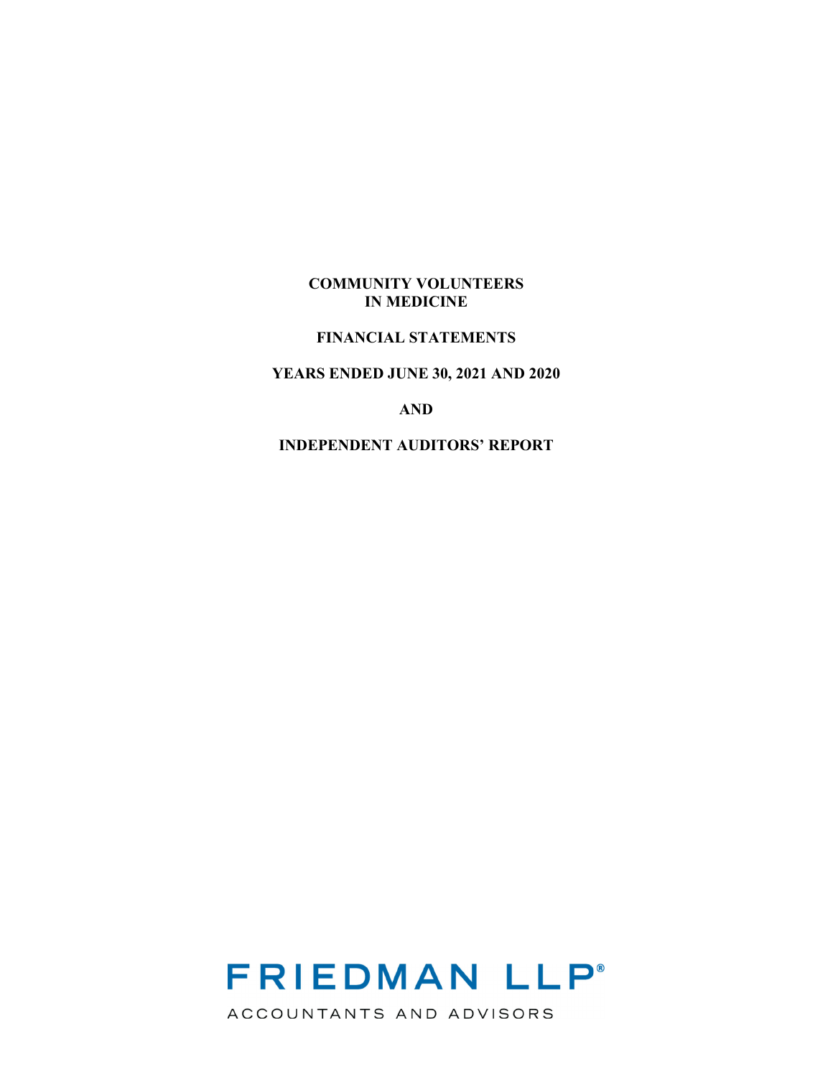# **FINANCIAL STATEMENTS**

# **YEARS ENDED JUNE 30, 2021 AND 2020**

**AND** 

**INDEPENDENT AUDITORS' REPORT** 



ACCOUNTANTS AND ADVISORS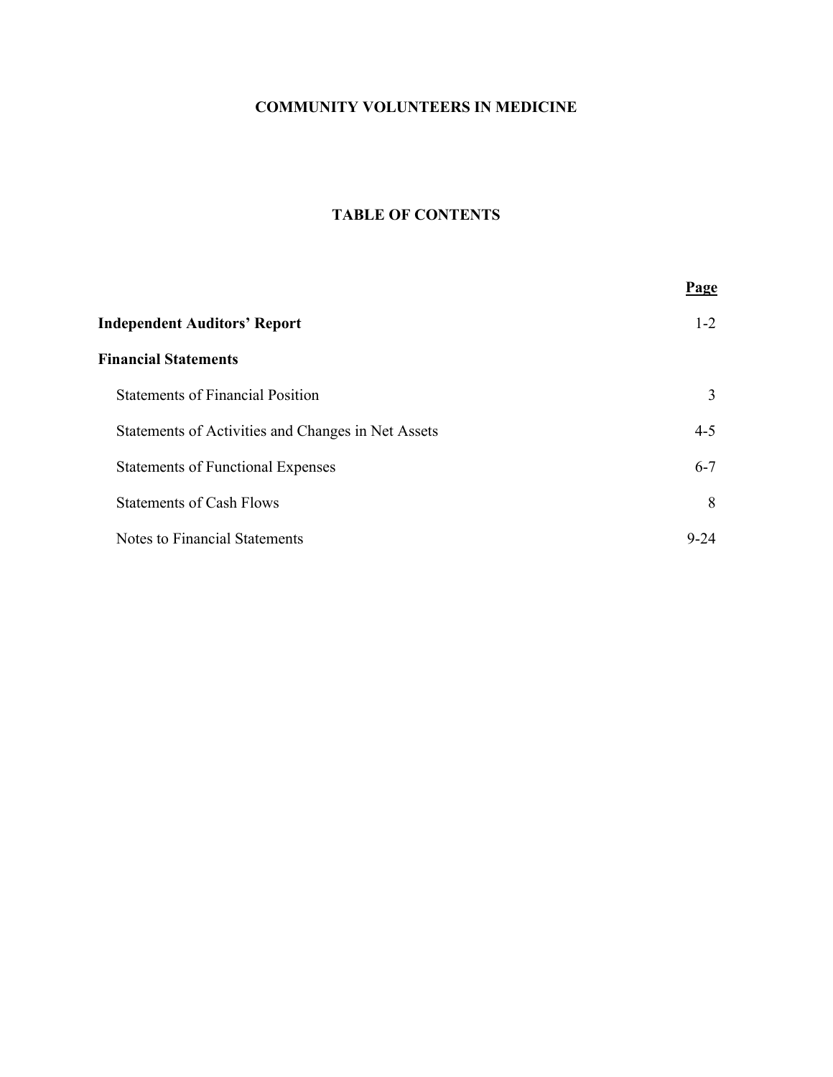# **TABLE OF CONTENTS**

|                                                    | Page     |
|----------------------------------------------------|----------|
| <b>Independent Auditors' Report</b>                | $1 - 2$  |
| <b>Financial Statements</b>                        |          |
| <b>Statements of Financial Position</b>            | 3        |
| Statements of Activities and Changes in Net Assets | $4 - 5$  |
| <b>Statements of Functional Expenses</b>           | $6 - 7$  |
| <b>Statements of Cash Flows</b>                    | 8        |
| Notes to Financial Statements                      | $9 - 24$ |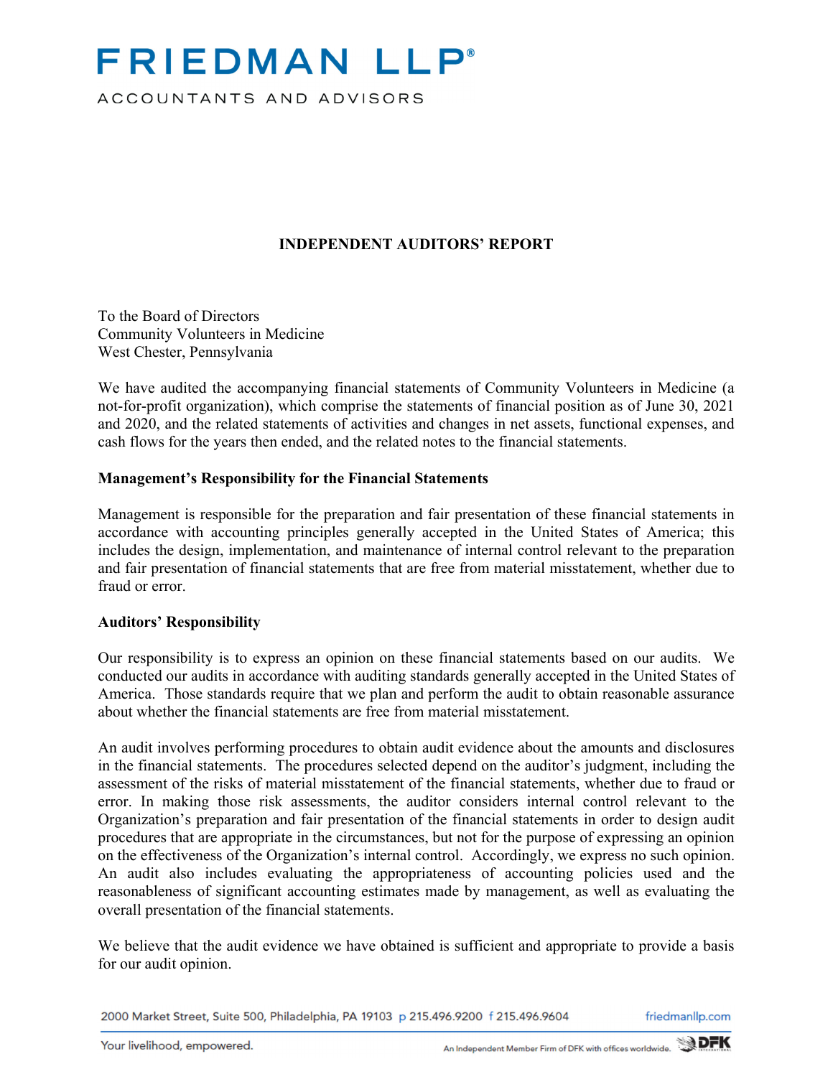# **FRIEDMAN LLP**<sup>®</sup>

ACCOUNTANTS AND ADVISORS

# **INDEPENDENT AUDITORS' REPORT**

To the Board of Directors Community Volunteers in Medicine West Chester, Pennsylvania

We have audited the accompanying financial statements of Community Volunteers in Medicine (a not-for-profit organization), which comprise the statements of financial position as of June 30, 2021 and 2020, and the related statements of activities and changes in net assets, functional expenses, and cash flows for the years then ended, and the related notes to the financial statements.

# **Management's Responsibility for the Financial Statements**

Management is responsible for the preparation and fair presentation of these financial statements in accordance with accounting principles generally accepted in the United States of America; this includes the design, implementation, and maintenance of internal control relevant to the preparation and fair presentation of financial statements that are free from material misstatement, whether due to fraud or error.

# **Auditors' Responsibility**

Our responsibility is to express an opinion on these financial statements based on our audits. We conducted our audits in accordance with auditing standards generally accepted in the United States of America. Those standards require that we plan and perform the audit to obtain reasonable assurance about whether the financial statements are free from material misstatement.

An audit involves performing procedures to obtain audit evidence about the amounts and disclosures in the financial statements. The procedures selected depend on the auditor's judgment, including the assessment of the risks of material misstatement of the financial statements, whether due to fraud or error. In making those risk assessments, the auditor considers internal control relevant to the Organization's preparation and fair presentation of the financial statements in order to design audit procedures that are appropriate in the circumstances, but not for the purpose of expressing an opinion on the effectiveness of the Organization's internal control. Accordingly, we express no such opinion. An audit also includes evaluating the appropriateness of accounting policies used and the reasonableness of significant accounting estimates made by management, as well as evaluating the overall presentation of the financial statements.

We believe that the audit evidence we have obtained is sufficient and appropriate to provide a basis for our audit opinion.

2000 Market Street, Suite 500, Philadelphia, PA 19103 p 215.496.9200 f 215.496.9604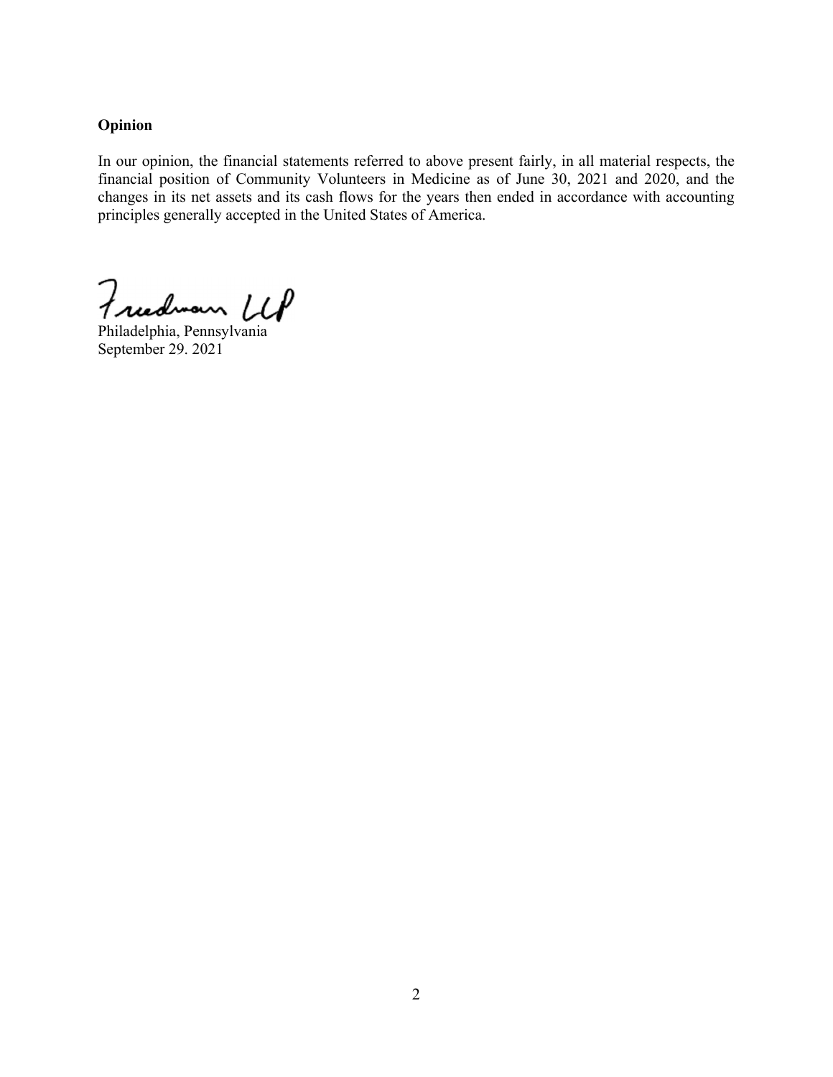# **Opinion**

In our opinion, the financial statements referred to above present fairly, in all material respects, the financial position of Community Volunteers in Medicine as of June 30, 2021 and 2020, and the changes in its net assets and its cash flows for the years then ended in accordance with accounting principles generally accepted in the United States of America.

Philadelphia, Pennsylvania

September 29. 2021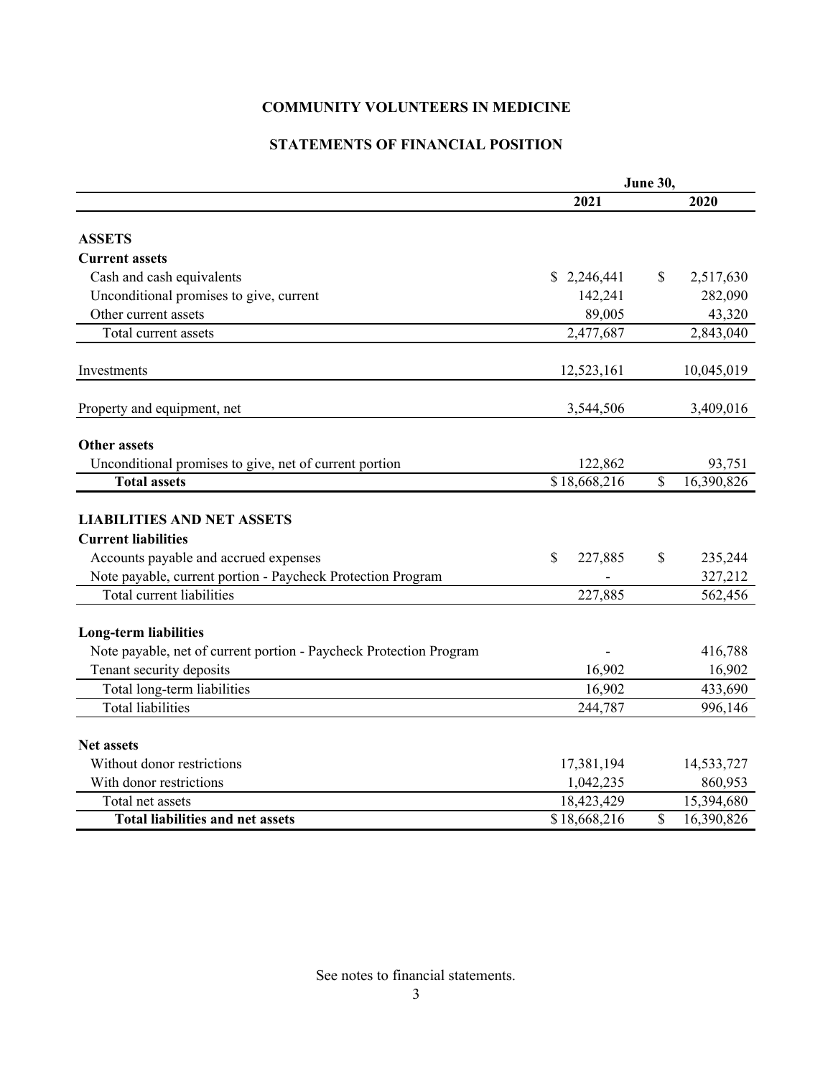# **STATEMENTS OF FINANCIAL POSITION**

| June 30, |                                                                                                                                                                                                                                                           |  |  |
|----------|-----------------------------------------------------------------------------------------------------------------------------------------------------------------------------------------------------------------------------------------------------------|--|--|
|          | 2020                                                                                                                                                                                                                                                      |  |  |
|          |                                                                                                                                                                                                                                                           |  |  |
|          |                                                                                                                                                                                                                                                           |  |  |
|          |                                                                                                                                                                                                                                                           |  |  |
|          | 2,517,630                                                                                                                                                                                                                                                 |  |  |
|          | 282,090                                                                                                                                                                                                                                                   |  |  |
|          | 43,320                                                                                                                                                                                                                                                    |  |  |
|          | 2,843,040                                                                                                                                                                                                                                                 |  |  |
|          | 10,045,019                                                                                                                                                                                                                                                |  |  |
|          |                                                                                                                                                                                                                                                           |  |  |
|          | 3,409,016                                                                                                                                                                                                                                                 |  |  |
|          |                                                                                                                                                                                                                                                           |  |  |
|          | 93,751                                                                                                                                                                                                                                                    |  |  |
|          | 16,390,826                                                                                                                                                                                                                                                |  |  |
|          |                                                                                                                                                                                                                                                           |  |  |
|          |                                                                                                                                                                                                                                                           |  |  |
|          |                                                                                                                                                                                                                                                           |  |  |
| \$       | 235,244                                                                                                                                                                                                                                                   |  |  |
|          | 327,212                                                                                                                                                                                                                                                   |  |  |
|          | 562,456                                                                                                                                                                                                                                                   |  |  |
|          |                                                                                                                                                                                                                                                           |  |  |
|          |                                                                                                                                                                                                                                                           |  |  |
|          | 416,788                                                                                                                                                                                                                                                   |  |  |
|          | 16,902                                                                                                                                                                                                                                                    |  |  |
|          | 433,690                                                                                                                                                                                                                                                   |  |  |
|          | 996,146                                                                                                                                                                                                                                                   |  |  |
|          |                                                                                                                                                                                                                                                           |  |  |
|          | 14,533,727                                                                                                                                                                                                                                                |  |  |
|          | 860,953                                                                                                                                                                                                                                                   |  |  |
|          | 15,394,680                                                                                                                                                                                                                                                |  |  |
|          | 16,390,826                                                                                                                                                                                                                                                |  |  |
|          | \$2,246,441<br>\$<br>142,241<br>89,005<br>2,477,687<br>12,523,161<br>3,544,506<br>122,862<br>\$18,668,216<br>$\overline{\mathcal{S}}$<br>227,885<br>227,885<br>16,902<br>16,902<br>244,787<br>17,381,194<br>1,042,235<br>18,423,429<br>\$<br>\$18,668,216 |  |  |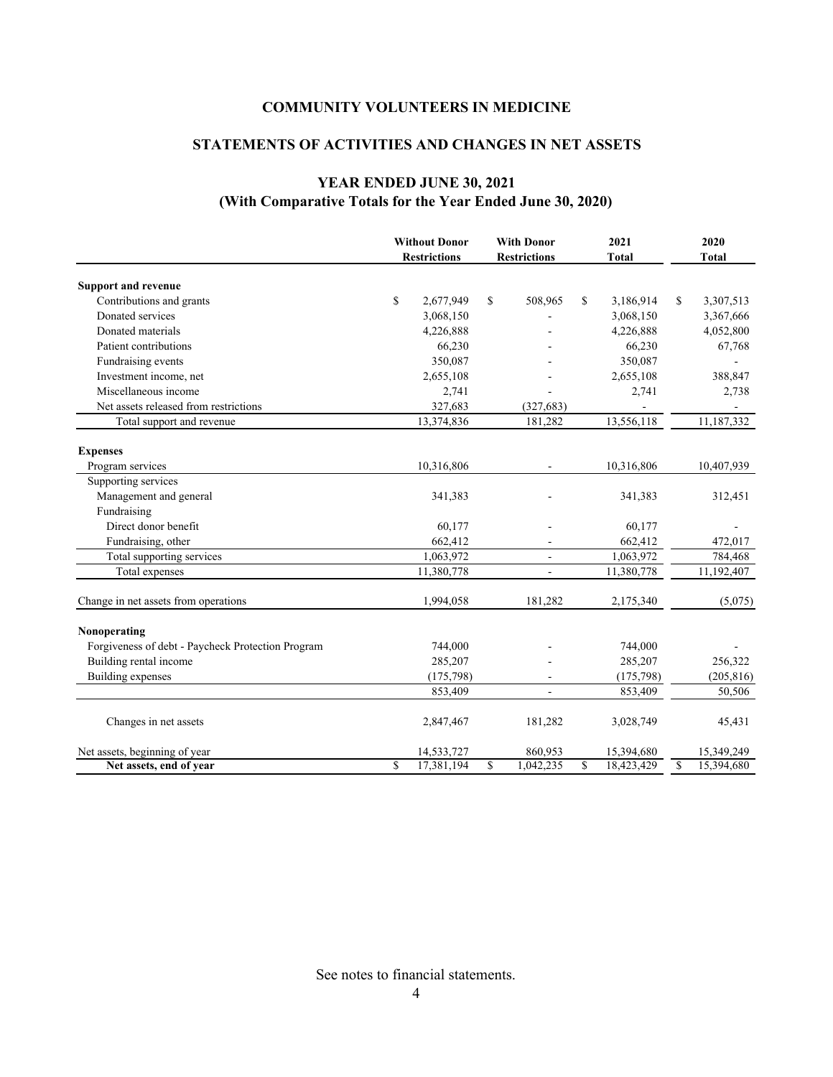# **STATEMENTS OF ACTIVITIES AND CHANGES IN NET ASSETS**

# **YEAR ENDED JUNE 30, 2021**

# **(With Comparative Totals for the Year Ended June 30, 2020)**

|                                                   | <b>Without Donor</b> |                     |    | <b>With Donor</b>   | 2021             |    | 2020         |
|---------------------------------------------------|----------------------|---------------------|----|---------------------|------------------|----|--------------|
|                                                   |                      | <b>Restrictions</b> |    | <b>Restrictions</b> | <b>Total</b>     |    | <b>Total</b> |
| <b>Support and revenue</b>                        |                      |                     |    |                     |                  |    |              |
| Contributions and grants                          | \$                   | 2,677,949           | S. | 508,965             | \$<br>3,186,914  | S. | 3,307,513    |
| Donated services                                  |                      | 3,068,150           |    |                     | 3,068,150        |    | 3,367,666    |
| Donated materials                                 |                      | 4,226,888           |    |                     | 4,226,888        |    | 4,052,800    |
| Patient contributions                             |                      | 66,230              |    |                     | 66,230           |    | 67,768       |
| Fundraising events                                |                      | 350,087             |    |                     | 350,087          |    |              |
| Investment income, net                            |                      | 2,655,108           |    |                     | 2,655,108        |    | 388,847      |
| Miscellaneous income                              |                      | 2,741               |    |                     | 2,741            |    | 2,738        |
| Net assets released from restrictions             |                      | 327,683             |    | (327, 683)          |                  |    |              |
| Total support and revenue                         |                      | 13,374,836          |    | 181,282             | 13,556,118       |    | 11,187,332   |
| <b>Expenses</b>                                   |                      |                     |    |                     |                  |    |              |
| Program services                                  |                      | 10,316,806          |    |                     | 10,316,806       |    | 10,407,939   |
| Supporting services                               |                      |                     |    |                     |                  |    |              |
| Management and general                            |                      | 341,383             |    |                     | 341,383          |    | 312,451      |
| Fundraising                                       |                      |                     |    |                     |                  |    |              |
| Direct donor benefit                              |                      | 60,177              |    |                     | 60,177           |    |              |
| Fundraising, other                                |                      | 662,412             |    | $\blacksquare$      | 662,412          |    | 472,017      |
| Total supporting services                         |                      | 1,063,972           |    | $\blacksquare$      | 1,063,972        |    | 784,468      |
| Total expenses                                    |                      | 11,380,778          |    | $\blacksquare$      | 11,380,778       |    | 11,192,407   |
| Change in net assets from operations              |                      | 1,994,058           |    | 181,282             | 2,175,340        |    | (5,075)      |
| Nonoperating                                      |                      |                     |    |                     |                  |    |              |
| Forgiveness of debt - Paycheck Protection Program |                      | 744,000             |    |                     | 744,000          |    |              |
| Building rental income                            |                      | 285,207             |    |                     | 285,207          |    | 256,322      |
| Building expenses                                 |                      | (175, 798)          |    |                     | (175, 798)       |    | (205, 816)   |
|                                                   |                      | 853,409             |    |                     | 853,409          |    | 50,506       |
| Changes in net assets                             |                      | 2,847,467           |    | 181,282             | 3,028,749        |    | 45,431       |
| Net assets, beginning of year                     |                      | 14,533,727          |    | 860,953             | 15,394,680       |    | 15,349,249   |
| Net assets, end of year                           | \$                   | 17,381,194          | \$ | 1,042,235           | \$<br>18,423,429 | \$ | 15,394,680   |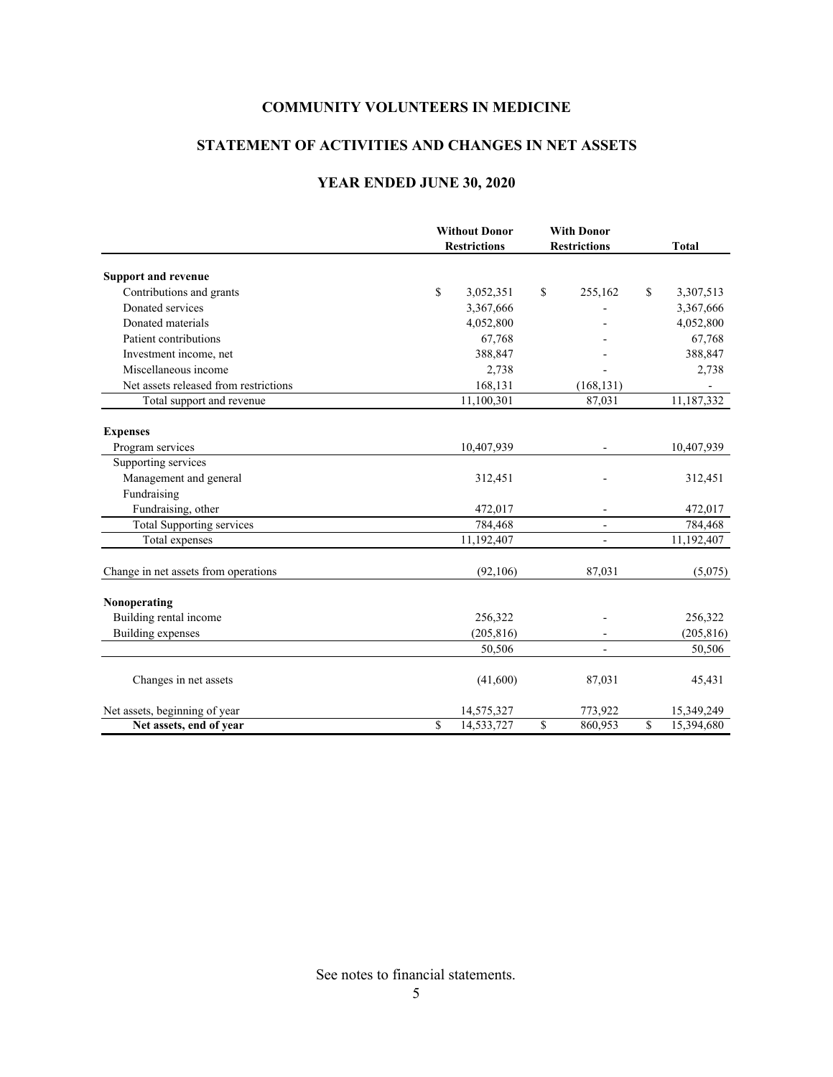# **STATEMENT OF ACTIVITIES AND CHANGES IN NET ASSETS**

# **YEAR ENDED JUNE 30, 2020**

|                                       | <b>Without Donor</b> |            |                     | <b>With Donor</b>        |                  |
|---------------------------------------|----------------------|------------|---------------------|--------------------------|------------------|
|                                       | <b>Restrictions</b>  |            | <b>Restrictions</b> |                          | <b>Total</b>     |
| <b>Support and revenue</b>            |                      |            |                     |                          |                  |
| Contributions and grants              | \$                   | 3,052,351  | \$                  | 255,162                  | \$<br>3,307,513  |
| Donated services                      |                      | 3,367,666  |                     |                          | 3,367,666        |
| Donated materials                     |                      | 4,052,800  |                     |                          | 4,052,800        |
| Patient contributions                 |                      | 67,768     |                     |                          | 67,768           |
| Investment income, net                |                      | 388,847    |                     |                          | 388,847          |
| Miscellaneous income                  |                      | 2,738      |                     |                          | 2,738            |
| Net assets released from restrictions |                      | 168,131    |                     | (168, 131)               |                  |
| Total support and revenue             |                      | 11,100,301 |                     | 87,031                   | 11,187,332       |
|                                       |                      |            |                     |                          |                  |
| <b>Expenses</b>                       |                      |            |                     |                          |                  |
| Program services                      |                      | 10,407,939 |                     |                          | 10,407,939       |
| Supporting services                   |                      |            |                     |                          |                  |
| Management and general                |                      | 312,451    |                     |                          | 312,451          |
| Fundraising                           |                      |            |                     |                          |                  |
| Fundraising, other                    |                      | 472,017    |                     |                          | 472,017          |
| <b>Total Supporting services</b>      |                      | 784,468    |                     |                          | 784,468          |
| Total expenses                        |                      | 11,192,407 |                     | $\overline{\phantom{0}}$ | 11,192,407       |
| Change in net assets from operations  |                      | (92, 106)  |                     | 87,031                   | (5,075)          |
| Nonoperating                          |                      |            |                     |                          |                  |
| Building rental income                |                      | 256,322    |                     |                          | 256,322          |
| <b>Building expenses</b>              |                      | (205, 816) |                     |                          | (205, 816)       |
|                                       |                      | 50,506     |                     |                          | 50,506           |
|                                       |                      |            |                     |                          |                  |
| Changes in net assets                 |                      | (41,600)   |                     | 87,031                   | 45,431           |
| Net assets, beginning of year         |                      | 14,575,327 |                     | 773,922                  | 15,349,249       |
| Net assets, end of year               | \$                   | 14,533,727 | \$                  | 860,953                  | \$<br>15,394,680 |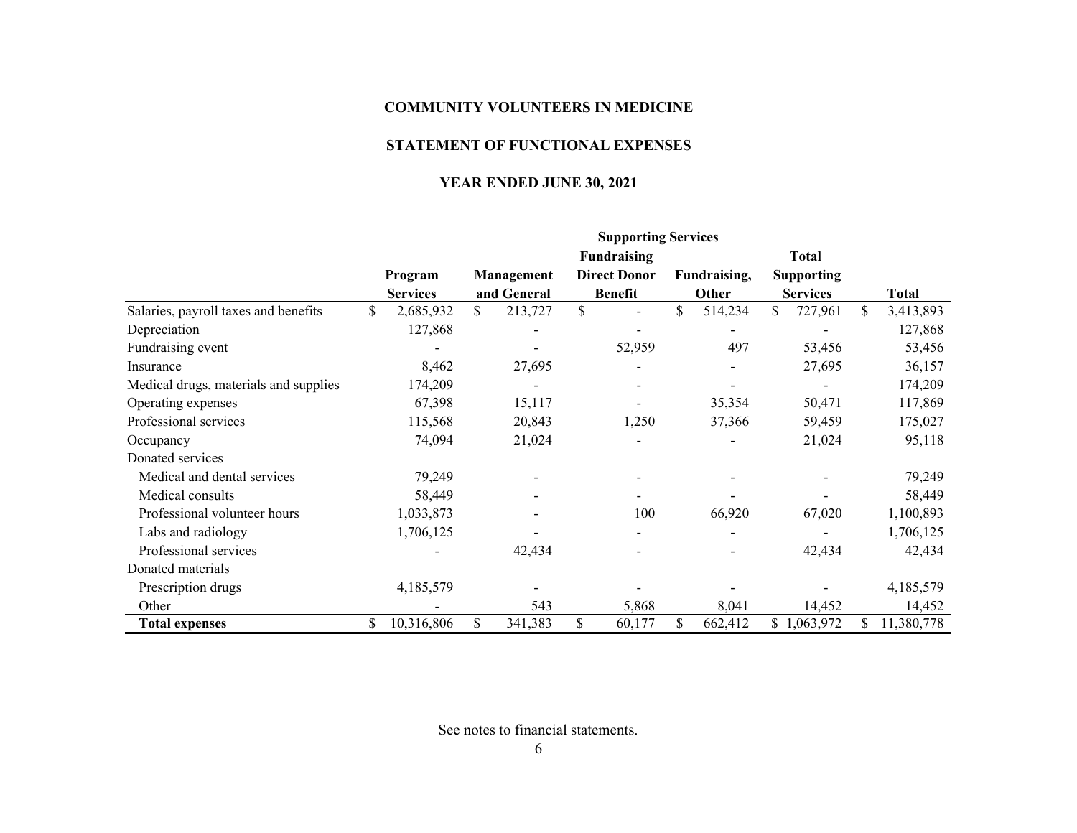# **STATEMENT OF FUNCTIONAL EXPENSES**

# **YEAR ENDED JUNE 30, 2021**

|                                       |                  |               | <b>Supporting Services</b>     |              |                          |    |                   |     |              |
|---------------------------------------|------------------|---------------|--------------------------------|--------------|--------------------------|----|-------------------|-----|--------------|
|                                       |                  |               | <b>Fundraising</b>             |              |                          |    | <b>Total</b>      |     |              |
|                                       | Program          | Management    | <b>Direct Donor</b>            |              | Fundraising,             |    | <b>Supporting</b> |     |              |
|                                       | <b>Services</b>  | and General   | <b>Benefit</b>                 |              | Other                    |    | <b>Services</b>   |     | <b>Total</b> |
| Salaries, payroll taxes and benefits  | \$<br>2,685,932  | \$<br>213,727 | \$<br>$\overline{\phantom{a}}$ | $\mathbb{S}$ | 514,234                  | S. | 727,961           | \$. | 3,413,893    |
| Depreciation                          | 127,868          |               |                                |              |                          |    |                   |     | 127,868      |
| Fundraising event                     |                  |               | 52,959                         |              | 497                      |    | 53,456            |     | 53,456       |
| Insurance                             | 8,462            | 27,695        |                                |              |                          |    | 27,695            |     | 36,157       |
| Medical drugs, materials and supplies | 174,209          |               | $\overline{\phantom{a}}$       |              | $\overline{\phantom{0}}$ |    |                   |     | 174,209      |
| Operating expenses                    | 67,398           | 15,117        |                                |              | 35,354                   |    | 50,471            |     | 117,869      |
| Professional services                 | 115,568          | 20,843        | 1,250                          |              | 37,366                   |    | 59,459            |     | 175,027      |
| Occupancy                             | 74,094           | 21,024        |                                |              |                          |    | 21,024            |     | 95,118       |
| Donated services                      |                  |               |                                |              |                          |    |                   |     |              |
| Medical and dental services           | 79,249           |               |                                |              |                          |    |                   |     | 79,249       |
| Medical consults                      | 58,449           |               |                                |              |                          |    |                   |     | 58,449       |
| Professional volunteer hours          | 1,033,873        |               | 100                            |              | 66,920                   |    | 67,020            |     | 1,100,893    |
| Labs and radiology                    | 1,706,125        |               | $\overline{\phantom{0}}$       |              |                          |    |                   |     | 1,706,125    |
| Professional services                 |                  | 42,434        | $\overline{a}$                 |              |                          |    | 42,434            |     | 42,434       |
| Donated materials                     |                  |               |                                |              |                          |    |                   |     |              |
| Prescription drugs                    | 4,185,579        |               |                                |              |                          |    |                   |     | 4,185,579    |
| Other                                 |                  | 543           | 5,868                          |              | 8,041                    |    | 14,452            |     | 14,452       |
| <b>Total expenses</b>                 | \$<br>10,316,806 | \$<br>341,383 | \$<br>60,177                   | \$           | 662,412                  |    | \$1,063,972       |     | 11,380,778   |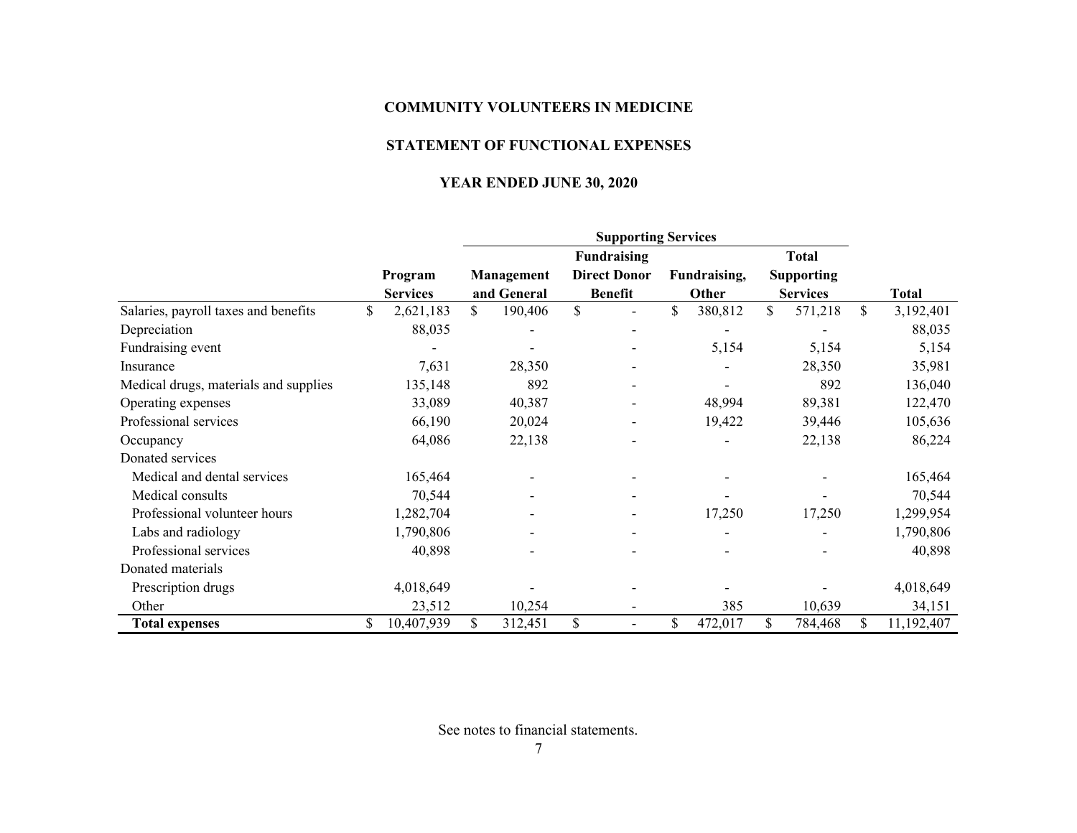# **STATEMENT OF FUNCTIONAL EXPENSES**

# **YEAR ENDED JUNE 30, 2020**

|                                       | <b>Supporting Services</b> |                 |    |             |              |                          |    |              |                   |                  |
|---------------------------------------|----------------------------|-----------------|----|-------------|--------------|--------------------------|----|--------------|-------------------|------------------|
|                                       |                            |                 |    |             |              | <b>Fundraising</b>       |    |              | <b>Total</b>      |                  |
|                                       |                            | Program         |    | Management  |              | <b>Direct Donor</b>      |    | Fundraising, | <b>Supporting</b> |                  |
|                                       |                            | <b>Services</b> |    | and General |              | <b>Benefit</b>           |    | Other        | <b>Services</b>   | <b>Total</b>     |
| Salaries, payroll taxes and benefits  | \$                         | 2,621,183       | \$ | 190,406     | $\mathbb{S}$ | $\overline{\phantom{0}}$ | \$ | 380,812      | \$<br>571,218     | \$<br>3,192,401  |
| Depreciation                          |                            | 88,035          |    |             |              |                          |    |              |                   | 88,035           |
| Fundraising event                     |                            |                 |    |             |              |                          |    | 5,154        | 5,154             | 5,154            |
| Insurance                             |                            | 7,631           |    | 28,350      |              |                          |    |              | 28,350            | 35,981           |
| Medical drugs, materials and supplies |                            | 135,148         |    | 892         |              |                          |    |              | 892               | 136,040          |
| Operating expenses                    |                            | 33,089          |    | 40,387      |              | $\overline{\phantom{a}}$ |    | 48,994       | 89,381            | 122,470          |
| Professional services                 |                            | 66,190          |    | 20,024      |              |                          |    | 19,422       | 39,446            | 105,636          |
| Occupancy                             |                            | 64,086          |    | 22,138      |              |                          |    |              | 22,138            | 86,224           |
| Donated services                      |                            |                 |    |             |              |                          |    |              |                   |                  |
| Medical and dental services           |                            | 165,464         |    |             |              |                          |    |              |                   | 165,464          |
| Medical consults                      |                            | 70,544          |    |             |              |                          |    |              |                   | 70,544           |
| Professional volunteer hours          |                            | 1,282,704       |    |             |              |                          |    | 17,250       | 17,250            | 1,299,954        |
| Labs and radiology                    |                            | 1,790,806       |    |             |              | -                        |    |              |                   | 1,790,806        |
| Professional services                 |                            | 40,898          |    |             |              |                          |    |              |                   | 40,898           |
| Donated materials                     |                            |                 |    |             |              |                          |    |              |                   |                  |
| Prescription drugs                    |                            | 4,018,649       |    |             |              |                          |    |              |                   | 4,018,649        |
| Other                                 |                            | 23,512          |    | 10,254      |              |                          |    | 385          | 10,639            | 34,151           |
| <b>Total expenses</b>                 | \$                         | 10,407,939      | \$ | 312,451     | \$           |                          | \$ | 472,017      | \$<br>784,468     | \$<br>11,192,407 |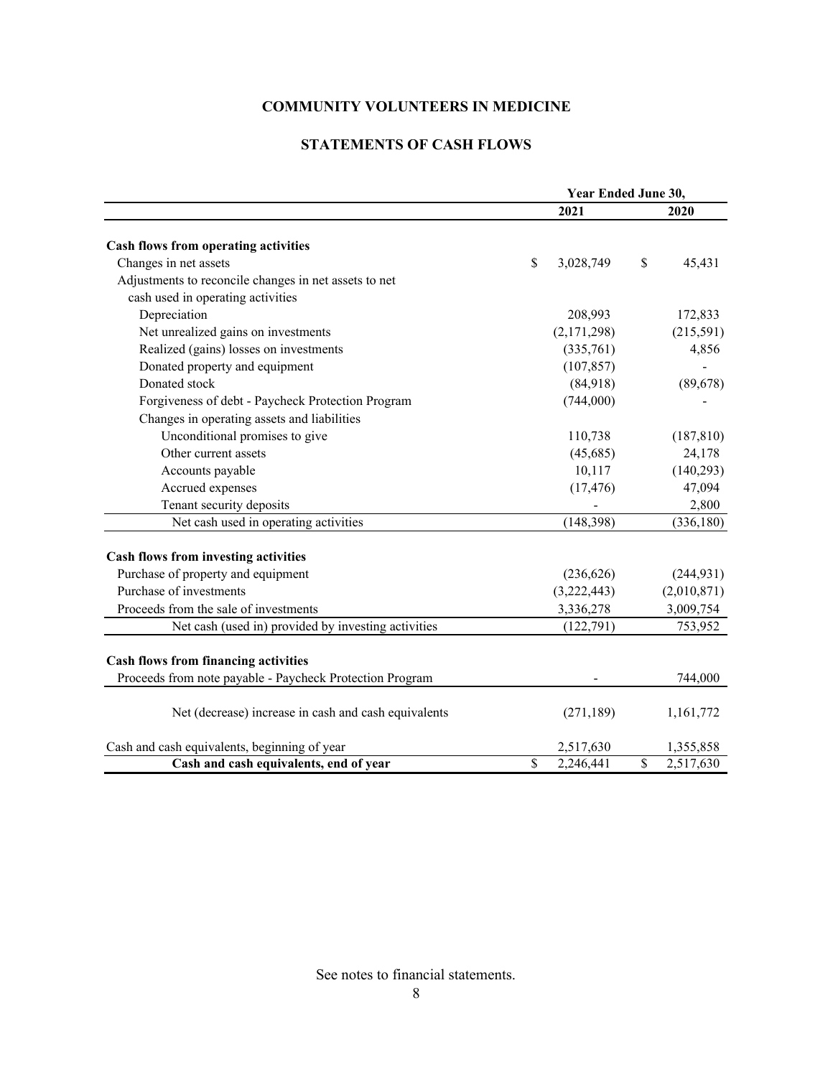# **STATEMENTS OF CASH FLOWS**

|                                                          |    | Year Ended June 30, |    |             |
|----------------------------------------------------------|----|---------------------|----|-------------|
|                                                          |    | 2021                |    | 2020        |
| <b>Cash flows from operating activities</b>              |    |                     |    |             |
| Changes in net assets                                    | \$ | 3,028,749           | \$ | 45,431      |
| Adjustments to reconcile changes in net assets to net    |    |                     |    |             |
| cash used in operating activities                        |    |                     |    |             |
| Depreciation                                             |    | 208,993             |    | 172,833     |
| Net unrealized gains on investments                      |    | (2,171,298)         |    | (215,591)   |
| Realized (gains) losses on investments                   |    | (335,761)           |    | 4,856       |
| Donated property and equipment                           |    | (107, 857)          |    |             |
| Donated stock                                            |    | (84,918)            |    | (89, 678)   |
| Forgiveness of debt - Paycheck Protection Program        |    | (744,000)           |    |             |
| Changes in operating assets and liabilities              |    |                     |    |             |
| Unconditional promises to give                           |    | 110,738             |    | (187, 810)  |
| Other current assets                                     |    | (45,685)            |    | 24,178      |
| Accounts payable                                         |    | 10,117              |    | (140, 293)  |
| Accrued expenses                                         |    | (17, 476)           |    | 47,094      |
| Tenant security deposits                                 |    |                     |    | 2,800       |
| Net cash used in operating activities                    |    | (148, 398)          |    | (336, 180)  |
|                                                          |    |                     |    |             |
| Cash flows from investing activities                     |    |                     |    |             |
| Purchase of property and equipment                       |    | (236, 626)          |    | (244, 931)  |
| Purchase of investments                                  |    | (3,222,443)         |    | (2,010,871) |
| Proceeds from the sale of investments                    |    | 3,336,278           |    | 3,009,754   |
| Net cash (used in) provided by investing activities      |    | (122, 791)          |    | 753,952     |
| <b>Cash flows from financing activities</b>              |    |                     |    |             |
| Proceeds from note payable - Paycheck Protection Program |    |                     |    | 744,000     |
|                                                          |    |                     |    |             |
| Net (decrease) increase in cash and cash equivalents     |    | (271, 189)          |    | 1,161,772   |
| Cash and cash equivalents, beginning of year             |    | 2,517,630           |    | 1,355,858   |
| Cash and cash equivalents, end of year                   | \$ | 2,246,441           | \$ | 2,517,630   |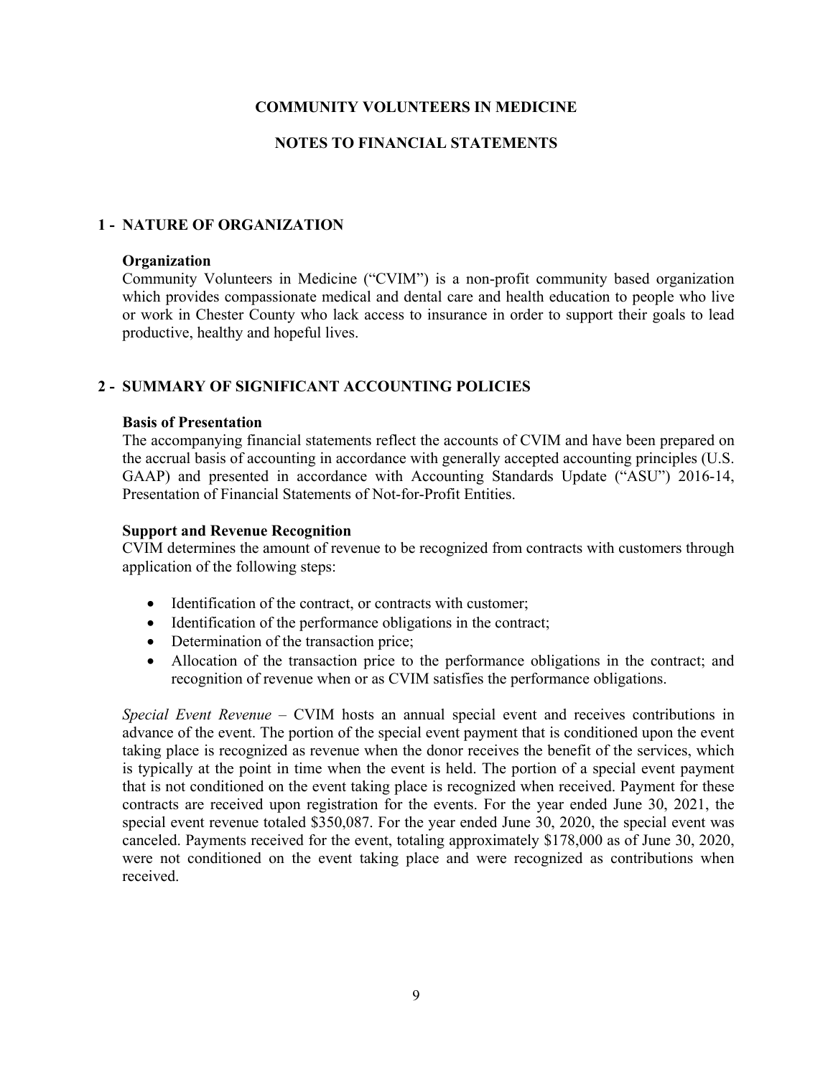# **NOTES TO FINANCIAL STATEMENTS**

# **1 - NATURE OF ORGANIZATION**

#### **Organization**

Community Volunteers in Medicine ("CVIM") is a non-profit community based organization which provides compassionate medical and dental care and health education to people who live or work in Chester County who lack access to insurance in order to support their goals to lead productive, healthy and hopeful lives.

#### **2 - SUMMARY OF SIGNIFICANT ACCOUNTING POLICIES**

#### **Basis of Presentation**

The accompanying financial statements reflect the accounts of CVIM and have been prepared on the accrual basis of accounting in accordance with generally accepted accounting principles (U.S. GAAP) and presented in accordance with Accounting Standards Update ("ASU") 2016-14, Presentation of Financial Statements of Not-for-Profit Entities.

#### **Support and Revenue Recognition**

CVIM determines the amount of revenue to be recognized from contracts with customers through application of the following steps:

- Identification of the contract, or contracts with customer;
- Identification of the performance obligations in the contract;
- Determination of the transaction price;
- Allocation of the transaction price to the performance obligations in the contract; and recognition of revenue when or as CVIM satisfies the performance obligations.

*Special Event Revenue* – CVIM hosts an annual special event and receives contributions in advance of the event. The portion of the special event payment that is conditioned upon the event taking place is recognized as revenue when the donor receives the benefit of the services, which is typically at the point in time when the event is held. The portion of a special event payment that is not conditioned on the event taking place is recognized when received. Payment for these contracts are received upon registration for the events. For the year ended June 30, 2021, the special event revenue totaled \$350,087. For the year ended June 30, 2020, the special event was canceled. Payments received for the event, totaling approximately \$178,000 as of June 30, 2020, were not conditioned on the event taking place and were recognized as contributions when received.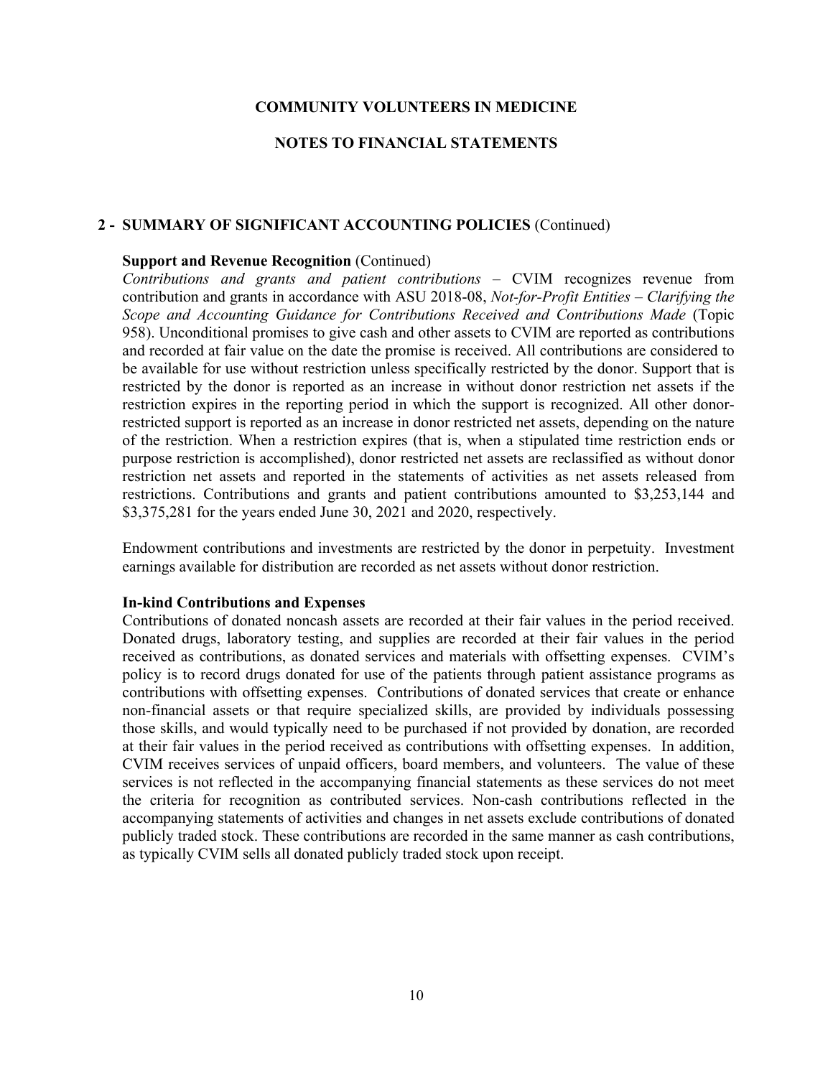#### **NOTES TO FINANCIAL STATEMENTS**

#### **2 - SUMMARY OF SIGNIFICANT ACCOUNTING POLICIES** (Continued)

#### **Support and Revenue Recognition** (Continued)

*Contributions and grants and patient contributions* – CVIM recognizes revenue from contribution and grants in accordance with ASU 2018-08, *Not-for-Profit Entities – Clarifying the Scope and Accounting Guidance for Contributions Received and Contributions Made* (Topic 958). Unconditional promises to give cash and other assets to CVIM are reported as contributions and recorded at fair value on the date the promise is received. All contributions are considered to be available for use without restriction unless specifically restricted by the donor. Support that is restricted by the donor is reported as an increase in without donor restriction net assets if the restriction expires in the reporting period in which the support is recognized. All other donorrestricted support is reported as an increase in donor restricted net assets, depending on the nature of the restriction. When a restriction expires (that is, when a stipulated time restriction ends or purpose restriction is accomplished), donor restricted net assets are reclassified as without donor restriction net assets and reported in the statements of activities as net assets released from restrictions. Contributions and grants and patient contributions amounted to \$3,253,144 and \$3,375,281 for the years ended June 30, 2021 and 2020, respectively.

Endowment contributions and investments are restricted by the donor in perpetuity. Investment earnings available for distribution are recorded as net assets without donor restriction.

#### **In-kind Contributions and Expenses**

Contributions of donated noncash assets are recorded at their fair values in the period received. Donated drugs, laboratory testing, and supplies are recorded at their fair values in the period received as contributions, as donated services and materials with offsetting expenses. CVIM's policy is to record drugs donated for use of the patients through patient assistance programs as contributions with offsetting expenses. Contributions of donated services that create or enhance non-financial assets or that require specialized skills, are provided by individuals possessing those skills, and would typically need to be purchased if not provided by donation, are recorded at their fair values in the period received as contributions with offsetting expenses. In addition, CVIM receives services of unpaid officers, board members, and volunteers. The value of these services is not reflected in the accompanying financial statements as these services do not meet the criteria for recognition as contributed services. Non-cash contributions reflected in the accompanying statements of activities and changes in net assets exclude contributions of donated publicly traded stock. These contributions are recorded in the same manner as cash contributions, as typically CVIM sells all donated publicly traded stock upon receipt.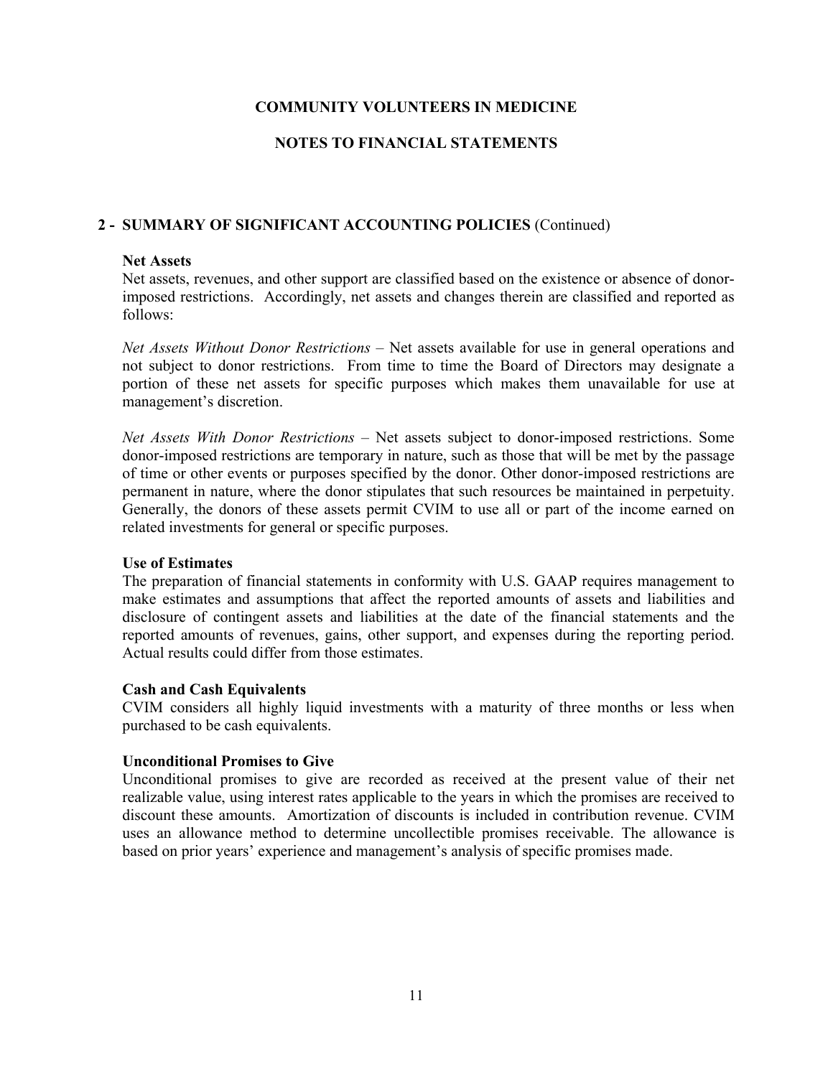# **NOTES TO FINANCIAL STATEMENTS**

# **2 - SUMMARY OF SIGNIFICANT ACCOUNTING POLICIES** (Continued)

#### **Net Assets**

Net assets, revenues, and other support are classified based on the existence or absence of donorimposed restrictions. Accordingly, net assets and changes therein are classified and reported as follows:

*Net Assets Without Donor Restrictions* – Net assets available for use in general operations and not subject to donor restrictions. From time to time the Board of Directors may designate a portion of these net assets for specific purposes which makes them unavailable for use at management's discretion.

*Net Assets With Donor Restrictions* – Net assets subject to donor-imposed restrictions. Some donor-imposed restrictions are temporary in nature, such as those that will be met by the passage of time or other events or purposes specified by the donor. Other donor-imposed restrictions are permanent in nature, where the donor stipulates that such resources be maintained in perpetuity. Generally, the donors of these assets permit CVIM to use all or part of the income earned on related investments for general or specific purposes.

#### **Use of Estimates**

The preparation of financial statements in conformity with U.S. GAAP requires management to make estimates and assumptions that affect the reported amounts of assets and liabilities and disclosure of contingent assets and liabilities at the date of the financial statements and the reported amounts of revenues, gains, other support, and expenses during the reporting period. Actual results could differ from those estimates.

#### **Cash and Cash Equivalents**

CVIM considers all highly liquid investments with a maturity of three months or less when purchased to be cash equivalents.

#### **Unconditional Promises to Give**

Unconditional promises to give are recorded as received at the present value of their net realizable value, using interest rates applicable to the years in which the promises are received to discount these amounts. Amortization of discounts is included in contribution revenue. CVIM uses an allowance method to determine uncollectible promises receivable. The allowance is based on prior years' experience and management's analysis of specific promises made.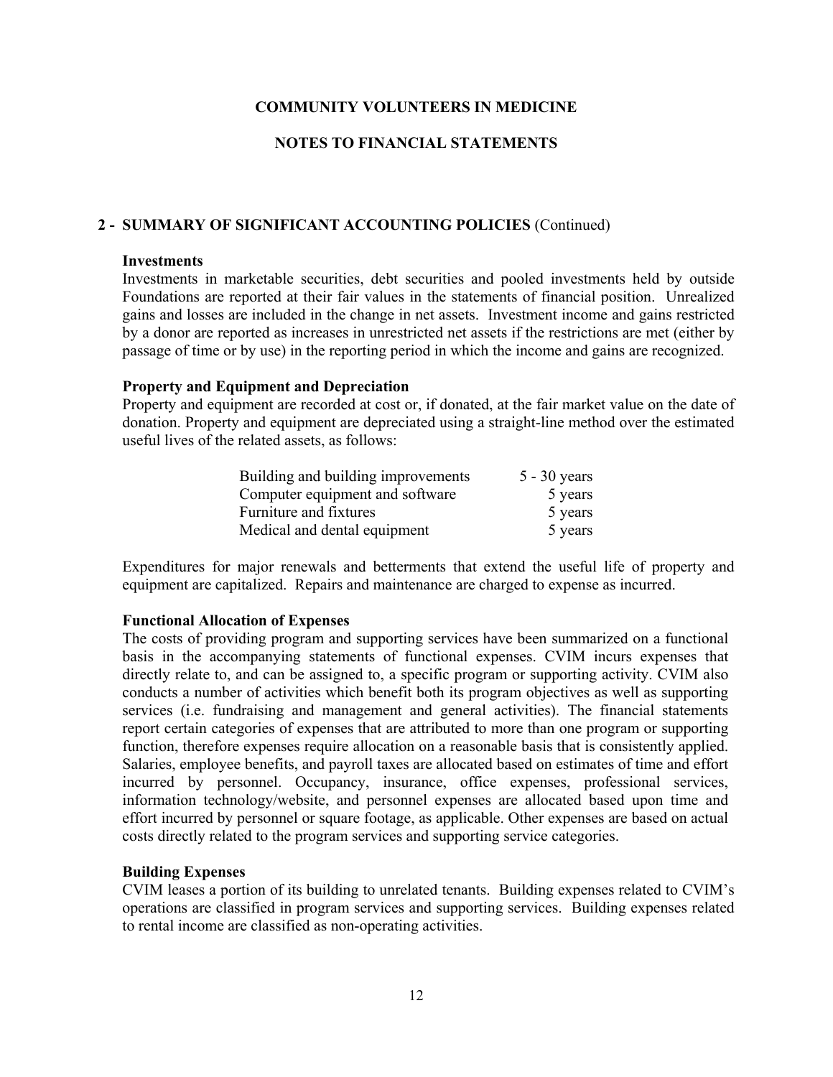#### **NOTES TO FINANCIAL STATEMENTS**

#### **2 - SUMMARY OF SIGNIFICANT ACCOUNTING POLICIES** (Continued)

#### **Investments**

Investments in marketable securities, debt securities and pooled investments held by outside Foundations are reported at their fair values in the statements of financial position. Unrealized gains and losses are included in the change in net assets. Investment income and gains restricted by a donor are reported as increases in unrestricted net assets if the restrictions are met (either by passage of time or by use) in the reporting period in which the income and gains are recognized.

#### **Property and Equipment and Depreciation**

Property and equipment are recorded at cost or, if donated, at the fair market value on the date of donation. Property and equipment are depreciated using a straight-line method over the estimated useful lives of the related assets, as follows:

| Building and building improvements | $5 - 30$ years |
|------------------------------------|----------------|
| Computer equipment and software    | 5 years        |
| Furniture and fixtures             | 5 years        |
| Medical and dental equipment       | 5 years        |

Expenditures for major renewals and betterments that extend the useful life of property and equipment are capitalized. Repairs and maintenance are charged to expense as incurred.

#### **Functional Allocation of Expenses**

The costs of providing program and supporting services have been summarized on a functional basis in the accompanying statements of functional expenses. CVIM incurs expenses that directly relate to, and can be assigned to, a specific program or supporting activity. CVIM also conducts a number of activities which benefit both its program objectives as well as supporting services (i.e. fundraising and management and general activities). The financial statements report certain categories of expenses that are attributed to more than one program or supporting function, therefore expenses require allocation on a reasonable basis that is consistently applied. Salaries, employee benefits, and payroll taxes are allocated based on estimates of time and effort incurred by personnel. Occupancy, insurance, office expenses, professional services, information technology/website, and personnel expenses are allocated based upon time and effort incurred by personnel or square footage, as applicable. Other expenses are based on actual costs directly related to the program services and supporting service categories.

#### **Building Expenses**

CVIM leases a portion of its building to unrelated tenants. Building expenses related to CVIM's operations are classified in program services and supporting services. Building expenses related to rental income are classified as non-operating activities.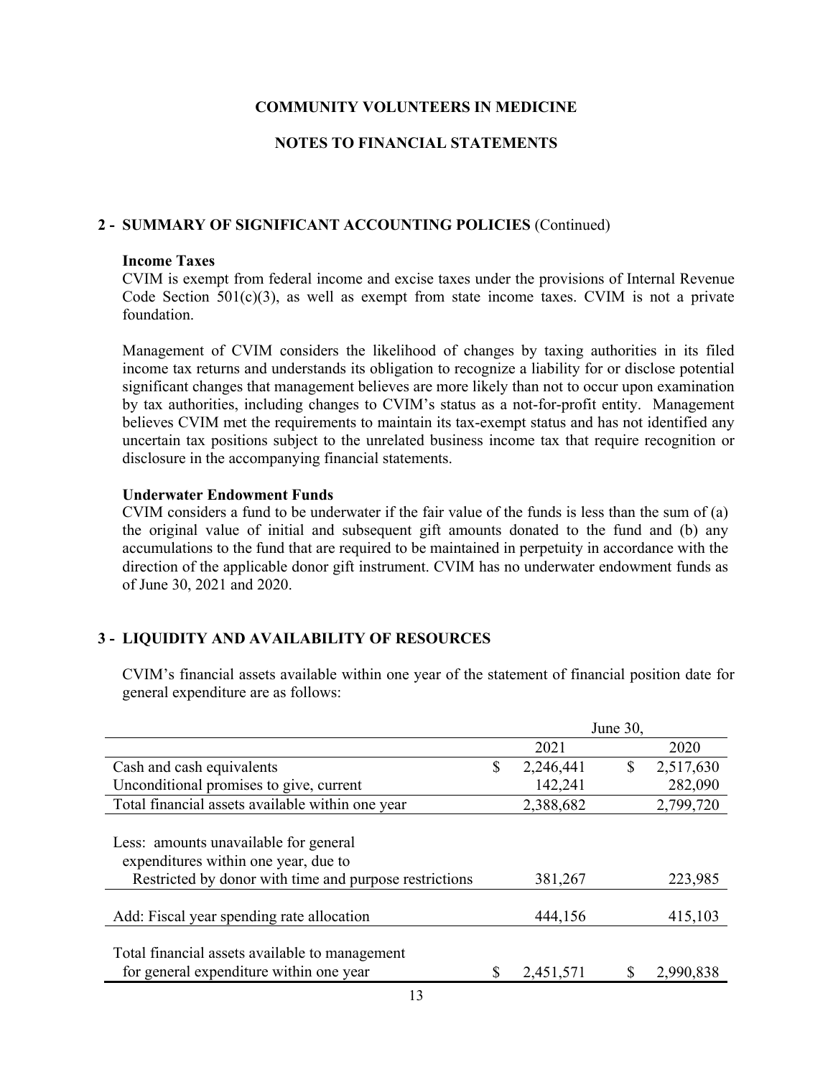# **NOTES TO FINANCIAL STATEMENTS**

#### **2 - SUMMARY OF SIGNIFICANT ACCOUNTING POLICIES** (Continued)

#### **Income Taxes**

CVIM is exempt from federal income and excise taxes under the provisions of Internal Revenue Code Section  $501(c)(3)$ , as well as exempt from state income taxes. CVIM is not a private foundation.

Management of CVIM considers the likelihood of changes by taxing authorities in its filed income tax returns and understands its obligation to recognize a liability for or disclose potential significant changes that management believes are more likely than not to occur upon examination by tax authorities, including changes to CVIM's status as a not-for-profit entity. Management believes CVIM met the requirements to maintain its tax-exempt status and has not identified any uncertain tax positions subject to the unrelated business income tax that require recognition or disclosure in the accompanying financial statements.

#### **Underwater Endowment Funds**

CVIM considers a fund to be underwater if the fair value of the funds is less than the sum of (a) the original value of initial and subsequent gift amounts donated to the fund and (b) any accumulations to the fund that are required to be maintained in perpetuity in accordance with the direction of the applicable donor gift instrument. CVIM has no underwater endowment funds as of June 30, 2021 and 2020.

#### **3 - LIQUIDITY AND AVAILABILITY OF RESOURCES**

CVIM's financial assets available within one year of the statement of financial position date for general expenditure are as follows:

|                                                                                           | June 30, |           |    |           |  |  |  |
|-------------------------------------------------------------------------------------------|----------|-----------|----|-----------|--|--|--|
|                                                                                           |          | 2021      |    | 2020      |  |  |  |
| Cash and cash equivalents                                                                 | S        | 2,246,441 | \$ | 2,517,630 |  |  |  |
| Unconditional promises to give, current                                                   |          | 142,241   |    | 282,090   |  |  |  |
| Total financial assets available within one year                                          |          | 2,388,682 |    | 2,799,720 |  |  |  |
| Less: amounts unavailable for general<br>expenditures within one year, due to             |          |           |    |           |  |  |  |
| Restricted by donor with time and purpose restrictions                                    |          | 381,267   |    | 223,985   |  |  |  |
| Add: Fiscal year spending rate allocation                                                 |          | 444,156   |    | 415,103   |  |  |  |
| Total financial assets available to management<br>for general expenditure within one year |          | 2,451,571 |    | 2,990,838 |  |  |  |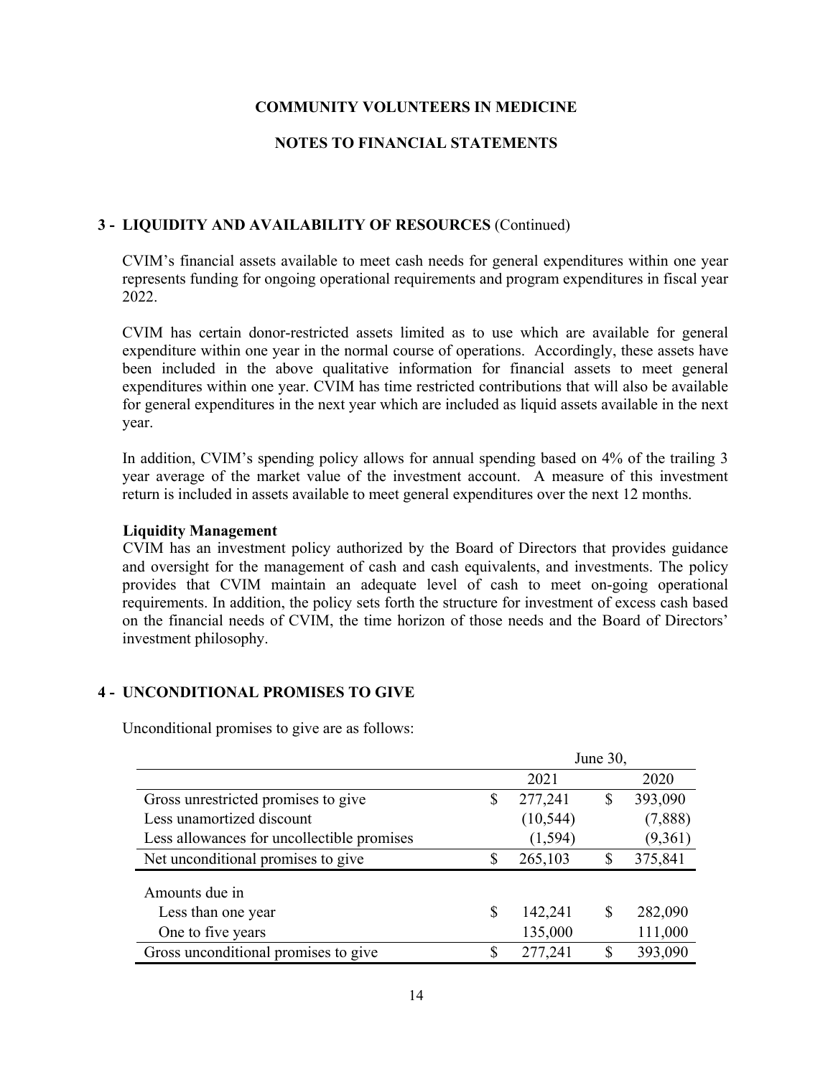# **NOTES TO FINANCIAL STATEMENTS**

# **3 - LIQUIDITY AND AVAILABILITY OF RESOURCES** (Continued)

CVIM's financial assets available to meet cash needs for general expenditures within one year represents funding for ongoing operational requirements and program expenditures in fiscal year 2022.

CVIM has certain donor-restricted assets limited as to use which are available for general expenditure within one year in the normal course of operations. Accordingly, these assets have been included in the above qualitative information for financial assets to meet general expenditures within one year. CVIM has time restricted contributions that will also be available for general expenditures in the next year which are included as liquid assets available in the next year.

In addition, CVIM's spending policy allows for annual spending based on 4% of the trailing 3 year average of the market value of the investment account. A measure of this investment return is included in assets available to meet general expenditures over the next 12 months.

#### **Liquidity Management**

CVIM has an investment policy authorized by the Board of Directors that provides guidance and oversight for the management of cash and cash equivalents, and investments. The policy provides that CVIM maintain an adequate level of cash to meet on-going operational requirements. In addition, the policy sets forth the structure for investment of excess cash based on the financial needs of CVIM, the time horizon of those needs and the Board of Directors' investment philosophy.

# **4 - UNCONDITIONAL PROMISES TO GIVE**

Unconditional promises to give are as follows:

|                                            | June 30, |           |    |         |  |  |
|--------------------------------------------|----------|-----------|----|---------|--|--|
|                                            |          | 2021      |    | 2020    |  |  |
| Gross unrestricted promises to give        | \$       | 277,241   | \$ | 393,090 |  |  |
| Less unamortized discount                  |          | (10, 544) |    | (7,888) |  |  |
| Less allowances for uncollectible promises |          | (1, 594)  |    | (9,361) |  |  |
| Net unconditional promises to give         | S        | 265,103   | S  | 375,841 |  |  |
| Amounts due in                             |          |           |    |         |  |  |
| Less than one year                         | S        | 142,241   | S  | 282,090 |  |  |
| One to five years                          |          | 135,000   |    | 111,000 |  |  |
| Gross unconditional promises to give       | \$       | 277,241   |    | 393,090 |  |  |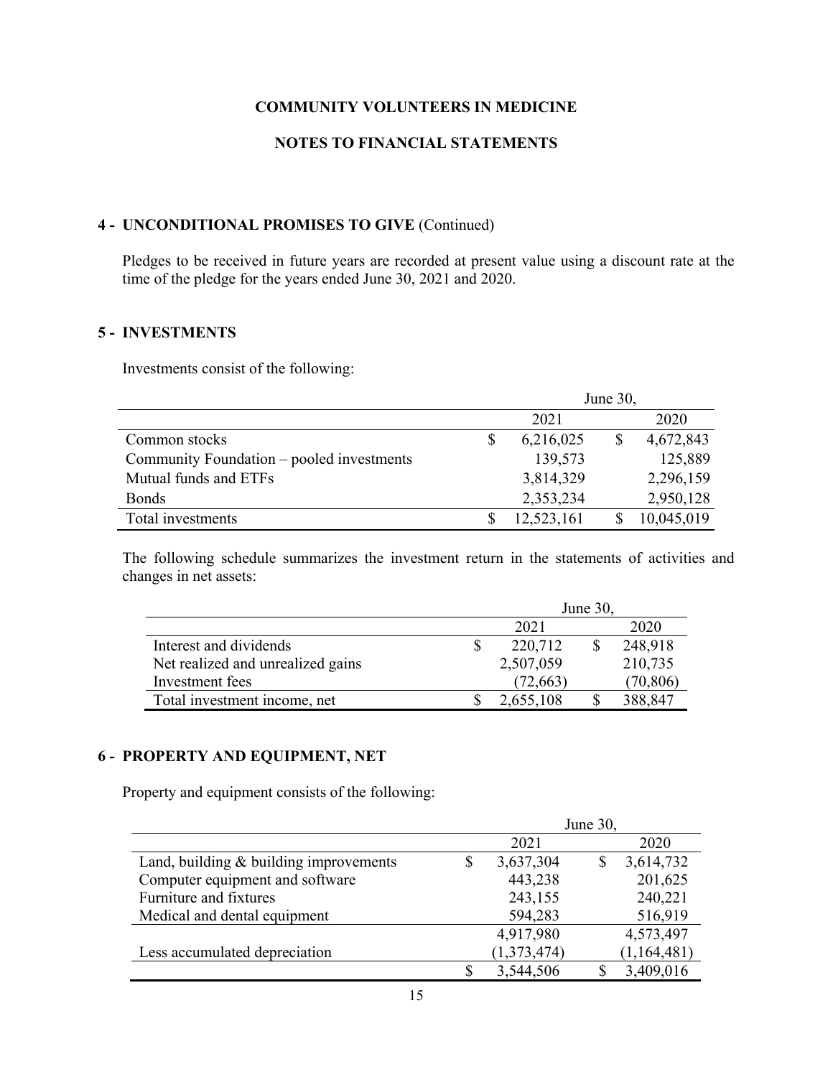# **NOTES TO FINANCIAL STATEMENTS**

# **4 - UNCONDITIONAL PROMISES TO GIVE** (Continued)

Pledges to be received in future years are recorded at present value using a discount rate at the time of the pledge for the years ended June 30, 2021 and 2020.

# **5 - INVESTMENTS**

Investments consist of the following:

|                                           | June 30,   |  |            |  |  |  |  |
|-------------------------------------------|------------|--|------------|--|--|--|--|
|                                           | 2021       |  | 2020       |  |  |  |  |
| Common stocks                             | 6,216,025  |  | 4,672,843  |  |  |  |  |
| Community Foundation – pooled investments | 139,573    |  | 125,889    |  |  |  |  |
| Mutual funds and ETFs                     | 3,814,329  |  | 2,296,159  |  |  |  |  |
| <b>Bonds</b>                              | 2,353,234  |  | 2,950,128  |  |  |  |  |
| Total investments                         | 12,523,161 |  | 10,045,019 |  |  |  |  |

The following schedule summarizes the investment return in the statements of activities and changes in net assets:

|                                   | June 30,  |  |           |  |  |  |  |
|-----------------------------------|-----------|--|-----------|--|--|--|--|
|                                   | 2021      |  | 2020      |  |  |  |  |
| Interest and dividends            | 220,712   |  | 248,918   |  |  |  |  |
| Net realized and unrealized gains | 2,507,059 |  | 210,735   |  |  |  |  |
| Investment fees                   | (72, 663) |  | (70, 806) |  |  |  |  |
| Total investment income, net      | 2,655,108 |  | 388,847   |  |  |  |  |

# **6 - PROPERTY AND EQUIPMENT, NET**

Property and equipment consists of the following:

|                                          | June 30, |             |    |             |  |  |
|------------------------------------------|----------|-------------|----|-------------|--|--|
|                                          |          | 2021        |    | 2020        |  |  |
| Land, building $&$ building improvements | \$       | 3,637,304   | \$ | 3,614,732   |  |  |
| Computer equipment and software          |          | 443,238     |    | 201,625     |  |  |
| Furniture and fixtures                   |          | 243,155     |    | 240,221     |  |  |
| Medical and dental equipment             |          | 594,283     |    | 516,919     |  |  |
|                                          |          | 4,917,980   |    | 4,573,497   |  |  |
| Less accumulated depreciation            |          | (1,373,474) |    | (1,164,481) |  |  |
|                                          |          | 3,544,506   |    | 3,409,016   |  |  |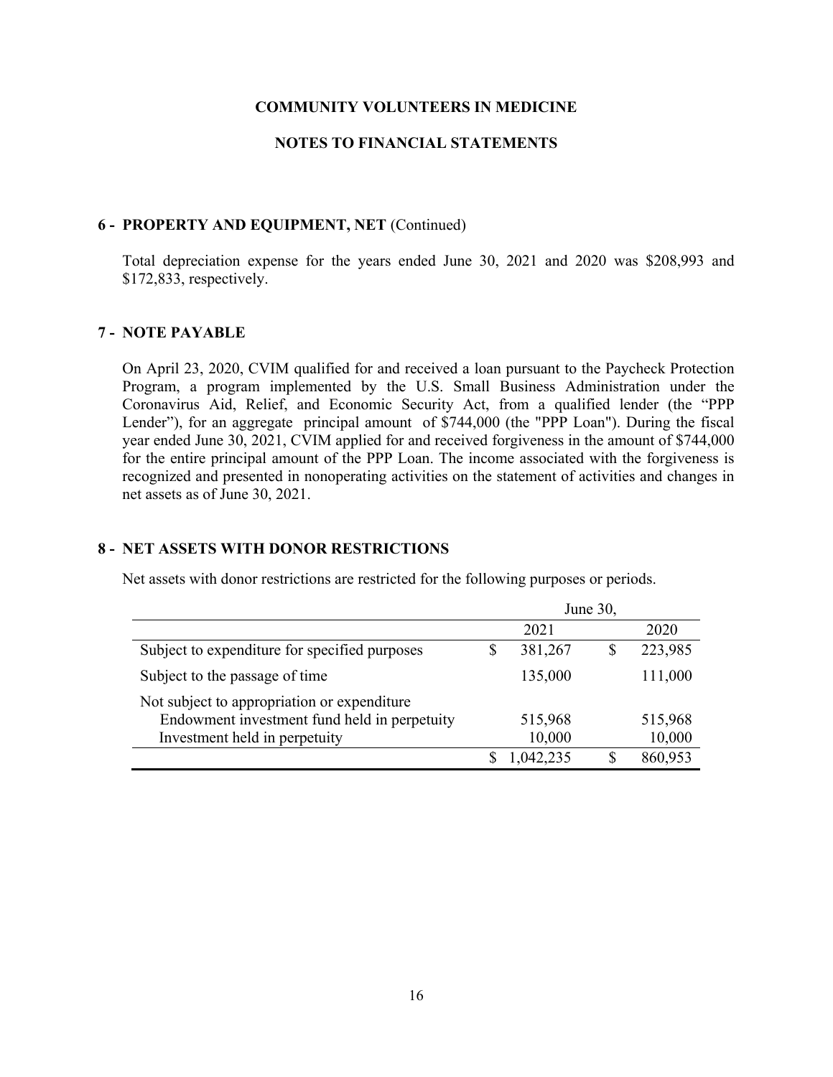#### **NOTES TO FINANCIAL STATEMENTS**

# **6 - PROPERTY AND EQUIPMENT, NET** (Continued)

Total depreciation expense for the years ended June 30, 2021 and 2020 was \$208,993 and \$172,833, respectively.

#### **7 - NOTE PAYABLE**

On April 23, 2020, CVIM qualified for and received a loan pursuant to the Paycheck Protection Program, a program implemented by the U.S. Small Business Administration under the Coronavirus Aid, Relief, and Economic Security Act, from a qualified lender (the "PPP Lender"), for an aggregate principal amount of \$744,000 (the "PPP Loan"). During the fiscal year ended June 30, 2021, CVIM applied for and received forgiveness in the amount of \$744,000 for the entire principal amount of the PPP Loan. The income associated with the forgiveness is recognized and presented in nonoperating activities on the statement of activities and changes in net assets as of June 30, 2021.

# **8 - NET ASSETS WITH DONOR RESTRICTIONS**

Net assets with donor restrictions are restricted for the following purposes or periods.

|                                               | June 30, |           |  |         |  |
|-----------------------------------------------|----------|-----------|--|---------|--|
|                                               |          | 2021      |  | 2020    |  |
| Subject to expenditure for specified purposes |          | 381,267   |  | 223,985 |  |
| Subject to the passage of time                |          | 135,000   |  | 111,000 |  |
| Not subject to appropriation or expenditure   |          |           |  |         |  |
| Endowment investment fund held in perpetuity  |          | 515,968   |  | 515,968 |  |
| Investment held in perpetuity                 |          | 10,000    |  | 10,000  |  |
|                                               |          | 1,042,235 |  | 860,953 |  |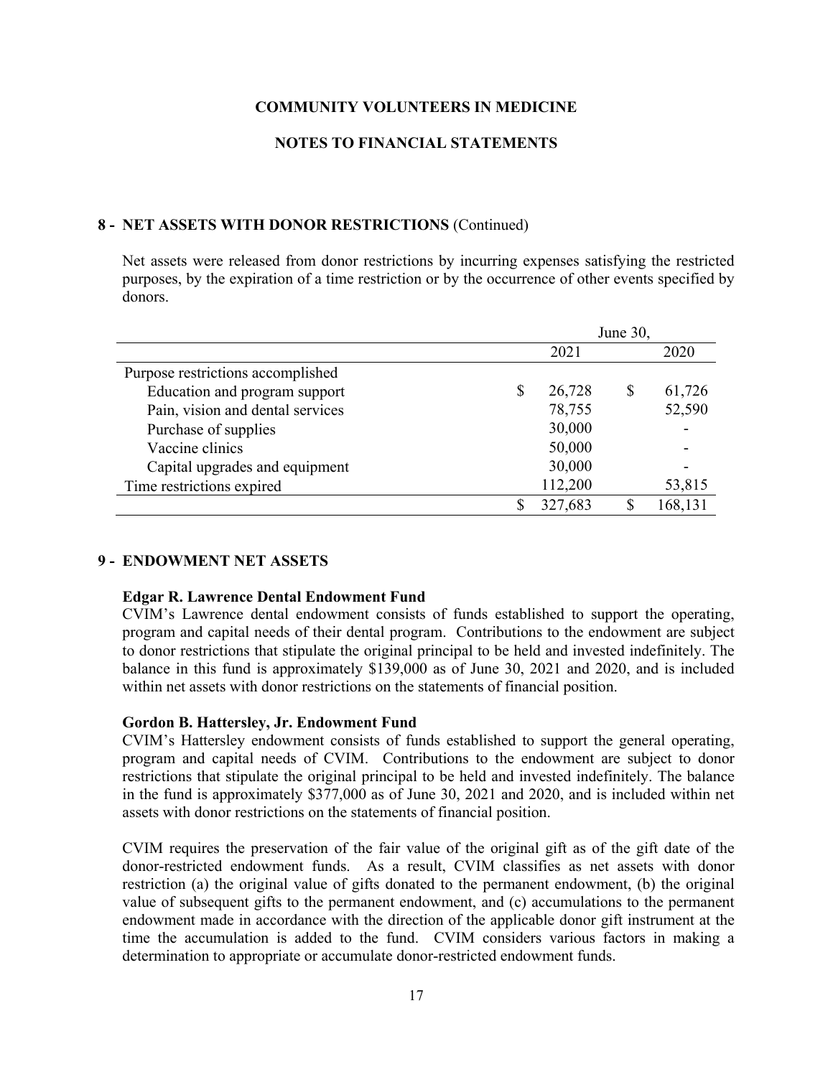# **NOTES TO FINANCIAL STATEMENTS**

#### **8 - NET ASSETS WITH DONOR RESTRICTIONS** (Continued)

Net assets were released from donor restrictions by incurring expenses satisfying the restricted purposes, by the expiration of a time restriction or by the occurrence of other events specified by donors.

|                                   | June 30, |         |   |         |  |
|-----------------------------------|----------|---------|---|---------|--|
|                                   |          | 2021    |   | 2020    |  |
| Purpose restrictions accomplished |          |         |   |         |  |
| Education and program support     | S        | 26,728  | S | 61,726  |  |
| Pain, vision and dental services  |          | 78,755  |   | 52,590  |  |
| Purchase of supplies              |          | 30,000  |   |         |  |
| Vaccine clinics                   |          | 50,000  |   |         |  |
| Capital upgrades and equipment    |          | 30,000  |   |         |  |
| Time restrictions expired         |          | 112,200 |   | 53,815  |  |
|                                   |          | 327,683 |   | 168,131 |  |

#### **9 - ENDOWMENT NET ASSETS**

#### **Edgar R. Lawrence Dental Endowment Fund**

CVIM's Lawrence dental endowment consists of funds established to support the operating, program and capital needs of their dental program. Contributions to the endowment are subject to donor restrictions that stipulate the original principal to be held and invested indefinitely. The balance in this fund is approximately \$139,000 as of June 30, 2021 and 2020, and is included within net assets with donor restrictions on the statements of financial position.

#### **Gordon B. Hattersley, Jr. Endowment Fund**

CVIM's Hattersley endowment consists of funds established to support the general operating, program and capital needs of CVIM. Contributions to the endowment are subject to donor restrictions that stipulate the original principal to be held and invested indefinitely. The balance in the fund is approximately \$377,000 as of June 30, 2021 and 2020, and is included within net assets with donor restrictions on the statements of financial position.

CVIM requires the preservation of the fair value of the original gift as of the gift date of the donor-restricted endowment funds. As a result, CVIM classifies as net assets with donor restriction (a) the original value of gifts donated to the permanent endowment, (b) the original value of subsequent gifts to the permanent endowment, and (c) accumulations to the permanent endowment made in accordance with the direction of the applicable donor gift instrument at the time the accumulation is added to the fund. CVIM considers various factors in making a determination to appropriate or accumulate donor-restricted endowment funds.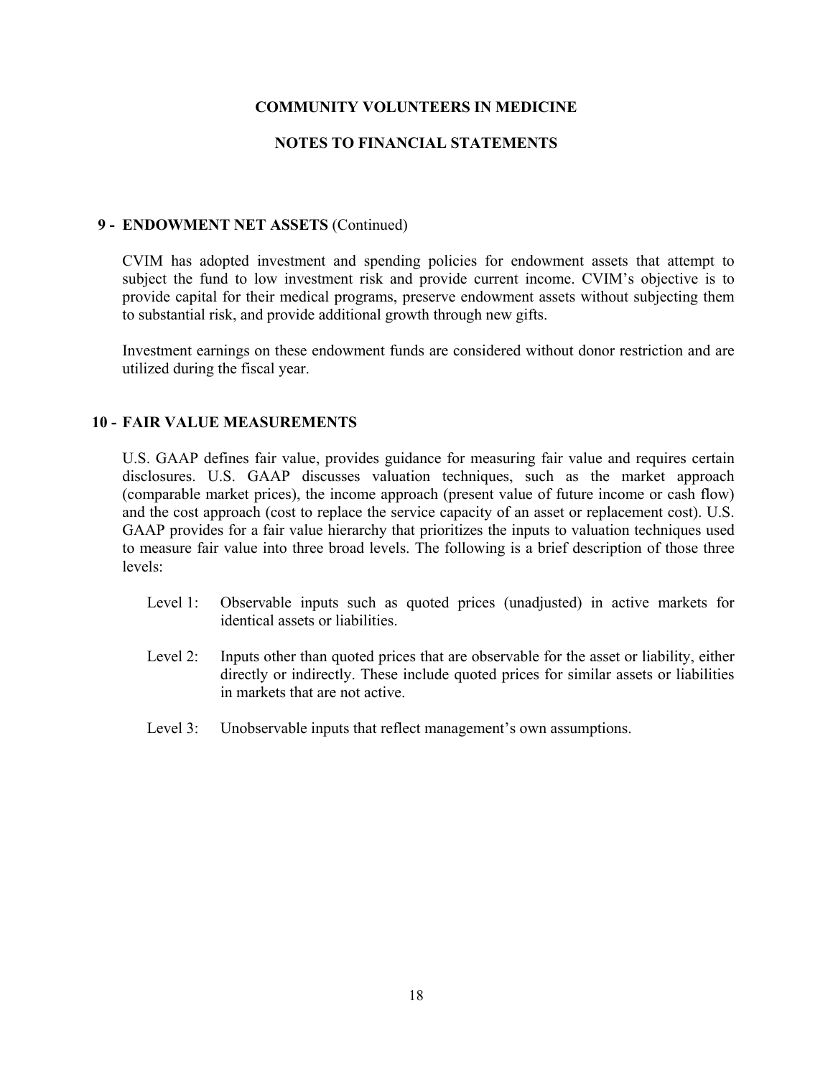# **NOTES TO FINANCIAL STATEMENTS**

#### **9 - ENDOWMENT NET ASSETS** (Continued)

CVIM has adopted investment and spending policies for endowment assets that attempt to subject the fund to low investment risk and provide current income. CVIM's objective is to provide capital for their medical programs, preserve endowment assets without subjecting them to substantial risk, and provide additional growth through new gifts.

Investment earnings on these endowment funds are considered without donor restriction and are utilized during the fiscal year.

#### **10 - FAIR VALUE MEASUREMENTS**

U.S. GAAP defines fair value, provides guidance for measuring fair value and requires certain disclosures. U.S. GAAP discusses valuation techniques, such as the market approach (comparable market prices), the income approach (present value of future income or cash flow) and the cost approach (cost to replace the service capacity of an asset or replacement cost). U.S. GAAP provides for a fair value hierarchy that prioritizes the inputs to valuation techniques used to measure fair value into three broad levels. The following is a brief description of those three levels:

- Level 1: Observable inputs such as quoted prices (unadjusted) in active markets for identical assets or liabilities.
- Level 2: Inputs other than quoted prices that are observable for the asset or liability, either directly or indirectly. These include quoted prices for similar assets or liabilities in markets that are not active.
- Level 3: Unobservable inputs that reflect management's own assumptions.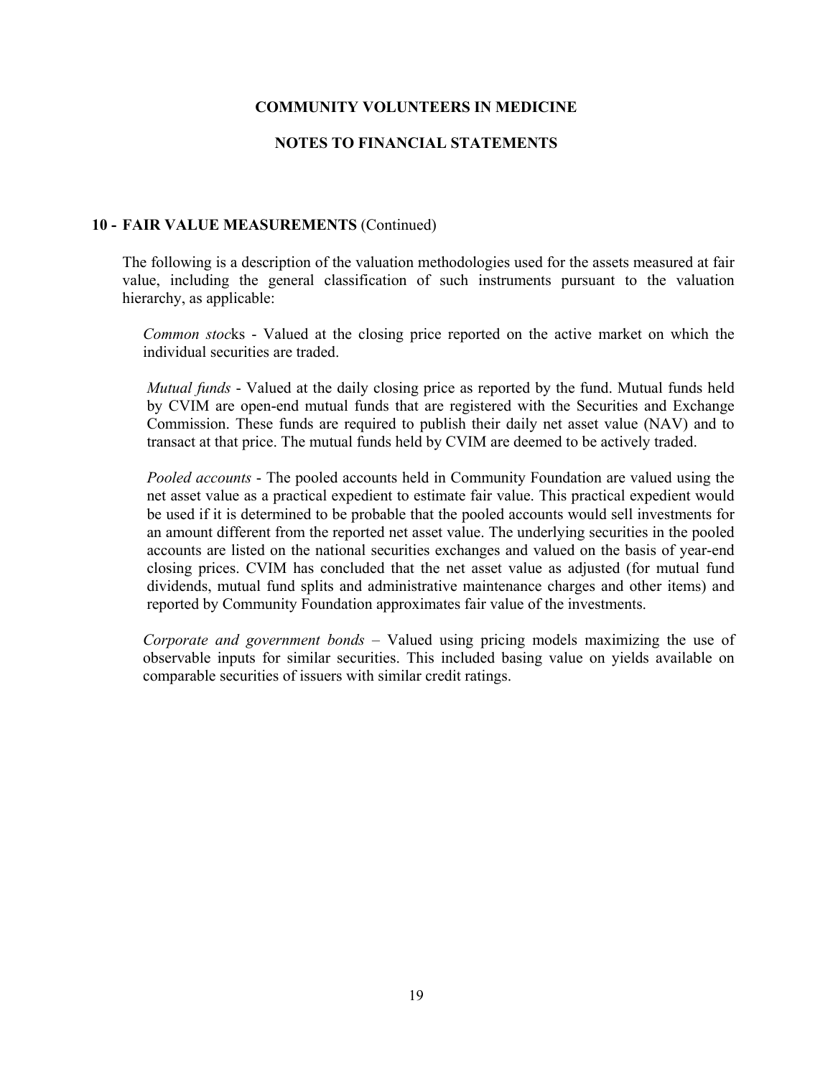# **NOTES TO FINANCIAL STATEMENTS**

#### **10 - FAIR VALUE MEASUREMENTS** (Continued)

The following is a description of the valuation methodologies used for the assets measured at fair value, including the general classification of such instruments pursuant to the valuation hierarchy, as applicable:

*Common stoc*ks - Valued at the closing price reported on the active market on which the individual securities are traded.

*Mutual funds* - Valued at the daily closing price as reported by the fund. Mutual funds held by CVIM are open-end mutual funds that are registered with the Securities and Exchange Commission. These funds are required to publish their daily net asset value (NAV) and to transact at that price. The mutual funds held by CVIM are deemed to be actively traded.

*Pooled accounts* - The pooled accounts held in Community Foundation are valued using the net asset value as a practical expedient to estimate fair value. This practical expedient would be used if it is determined to be probable that the pooled accounts would sell investments for an amount different from the reported net asset value. The underlying securities in the pooled accounts are listed on the national securities exchanges and valued on the basis of year-end closing prices. CVIM has concluded that the net asset value as adjusted (for mutual fund dividends, mutual fund splits and administrative maintenance charges and other items) and reported by Community Foundation approximates fair value of the investments.

*Corporate and government bonds* – Valued using pricing models maximizing the use of observable inputs for similar securities. This included basing value on yields available on comparable securities of issuers with similar credit ratings.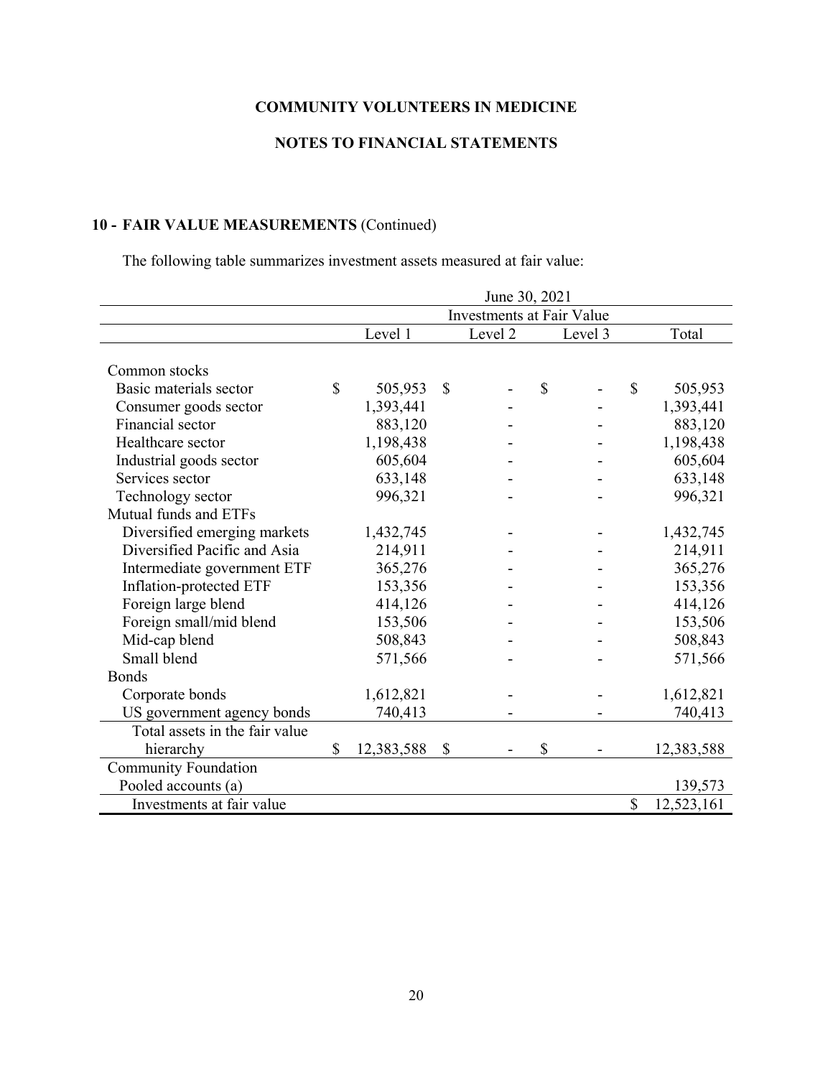# **NOTES TO FINANCIAL STATEMENTS**

# **10 - FAIR VALUE MEASUREMENTS** (Continued)

The following table summarizes investment assets measured at fair value:

|                                | June 30, 2021                    |            |              |         |    |         |              |            |
|--------------------------------|----------------------------------|------------|--------------|---------|----|---------|--------------|------------|
|                                | <b>Investments at Fair Value</b> |            |              |         |    |         |              |            |
|                                |                                  | Level 1    |              | Level 2 |    | Level 3 |              | Total      |
|                                |                                  |            |              |         |    |         |              |            |
| Common stocks                  |                                  |            |              |         |    |         |              |            |
| Basic materials sector         | \$                               | 505,953    | $\mathbb{S}$ |         | \$ |         | $\mathbb{S}$ | 505,953    |
| Consumer goods sector          |                                  | 1,393,441  |              |         |    |         |              | 1,393,441  |
| Financial sector               |                                  | 883,120    |              |         |    |         |              | 883,120    |
| Healthcare sector              |                                  | 1,198,438  |              |         |    |         |              | 1,198,438  |
| Industrial goods sector        |                                  | 605,604    |              |         |    |         |              | 605,604    |
| Services sector                |                                  | 633,148    |              |         |    |         |              | 633,148    |
| Technology sector              |                                  | 996,321    |              |         |    |         |              | 996,321    |
| Mutual funds and ETFs          |                                  |            |              |         |    |         |              |            |
| Diversified emerging markets   |                                  | 1,432,745  |              |         |    |         |              | 1,432,745  |
| Diversified Pacific and Asia   |                                  | 214,911    |              |         |    |         |              | 214,911    |
| Intermediate government ETF    |                                  | 365,276    |              |         |    |         |              | 365,276    |
| Inflation-protected ETF        |                                  | 153,356    |              |         |    |         |              | 153,356    |
| Foreign large blend            |                                  | 414,126    |              |         |    |         |              | 414,126    |
| Foreign small/mid blend        |                                  | 153,506    |              |         |    |         |              | 153,506    |
| Mid-cap blend                  |                                  | 508,843    |              |         |    |         |              | 508,843    |
| Small blend                    |                                  | 571,566    |              |         |    |         |              | 571,566    |
| <b>Bonds</b>                   |                                  |            |              |         |    |         |              |            |
| Corporate bonds                |                                  | 1,612,821  |              |         |    |         |              | 1,612,821  |
| US government agency bonds     |                                  | 740,413    |              |         |    |         |              | 740,413    |
| Total assets in the fair value |                                  |            |              |         |    |         |              |            |
| hierarchy                      | \$                               | 12,383,588 | \$           |         | \$ |         |              | 12,383,588 |
| <b>Community Foundation</b>    |                                  |            |              |         |    |         |              |            |
| Pooled accounts (a)            |                                  |            |              |         |    |         |              | 139,573    |
| Investments at fair value      |                                  |            |              |         |    |         | \$           | 12,523,161 |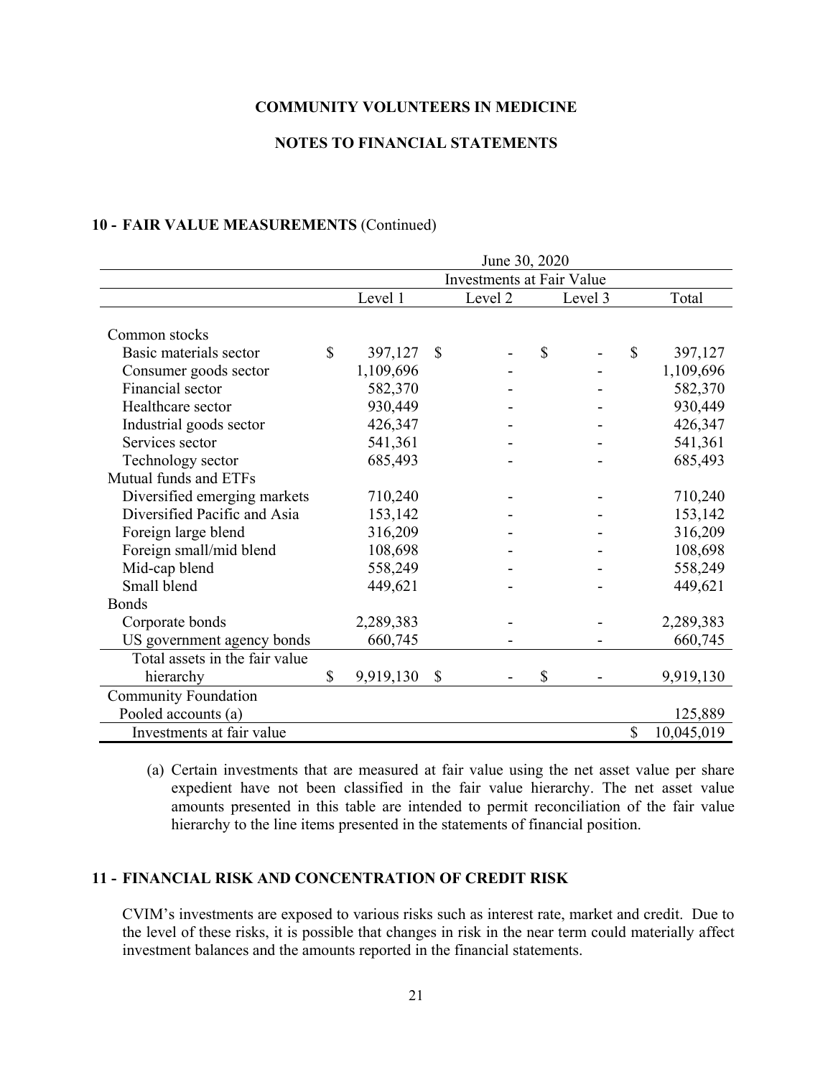# **NOTES TO FINANCIAL STATEMENTS**

|  |  | 10 - FAIR VALUE MEASUREMENTS (Continued) |  |
|--|--|------------------------------------------|--|
|--|--|------------------------------------------|--|

|                                | June 30, 2020                    |           |               |         |               |         |              |            |
|--------------------------------|----------------------------------|-----------|---------------|---------|---------------|---------|--------------|------------|
|                                | <b>Investments at Fair Value</b> |           |               |         |               |         |              |            |
|                                |                                  | Level 1   |               | Level 2 |               | Level 3 |              | Total      |
|                                |                                  |           |               |         |               |         |              |            |
| Common stocks                  |                                  |           |               |         |               |         |              |            |
| Basic materials sector         | $\mathbb{S}$                     | 397,127   | <sup>\$</sup> |         | $\mathcal{S}$ |         | $\mathbb{S}$ | 397,127    |
| Consumer goods sector          |                                  | 1,109,696 |               |         |               |         |              | 1,109,696  |
| Financial sector               |                                  | 582,370   |               |         |               |         |              | 582,370    |
| Healthcare sector              |                                  | 930,449   |               |         |               |         |              | 930,449    |
| Industrial goods sector        |                                  | 426,347   |               |         |               |         |              | 426,347    |
| Services sector                |                                  | 541,361   |               |         |               |         |              | 541,361    |
| Technology sector              |                                  | 685,493   |               |         |               |         |              | 685,493    |
| Mutual funds and ETFs          |                                  |           |               |         |               |         |              |            |
| Diversified emerging markets   |                                  | 710,240   |               |         |               |         |              | 710,240    |
| Diversified Pacific and Asia   |                                  | 153,142   |               |         |               |         |              | 153,142    |
| Foreign large blend            |                                  | 316,209   |               |         |               |         |              | 316,209    |
| Foreign small/mid blend        |                                  | 108,698   |               |         |               |         |              | 108,698    |
| Mid-cap blend                  |                                  | 558,249   |               |         |               |         |              | 558,249    |
| Small blend                    |                                  | 449,621   |               |         |               |         |              | 449,621    |
| <b>Bonds</b>                   |                                  |           |               |         |               |         |              |            |
| Corporate bonds                |                                  | 2,289,383 |               |         |               |         |              | 2,289,383  |
| US government agency bonds     |                                  | 660,745   |               |         |               |         |              | 660,745    |
| Total assets in the fair value |                                  |           |               |         |               |         |              |            |
| hierarchy                      | \$                               | 9,919,130 | \$            |         | \$            |         |              | 9,919,130  |
| <b>Community Foundation</b>    |                                  |           |               |         |               |         |              |            |
| Pooled accounts (a)            |                                  |           |               |         |               |         |              | 125,889    |
| Investments at fair value      |                                  |           |               |         |               |         | \$           | 10,045,019 |

(a) Certain investments that are measured at fair value using the net asset value per share expedient have not been classified in the fair value hierarchy. The net asset value amounts presented in this table are intended to permit reconciliation of the fair value hierarchy to the line items presented in the statements of financial position.

# **11 - FINANCIAL RISK AND CONCENTRATION OF CREDIT RISK**

CVIM's investments are exposed to various risks such as interest rate, market and credit. Due to the level of these risks, it is possible that changes in risk in the near term could materially affect investment balances and the amounts reported in the financial statements.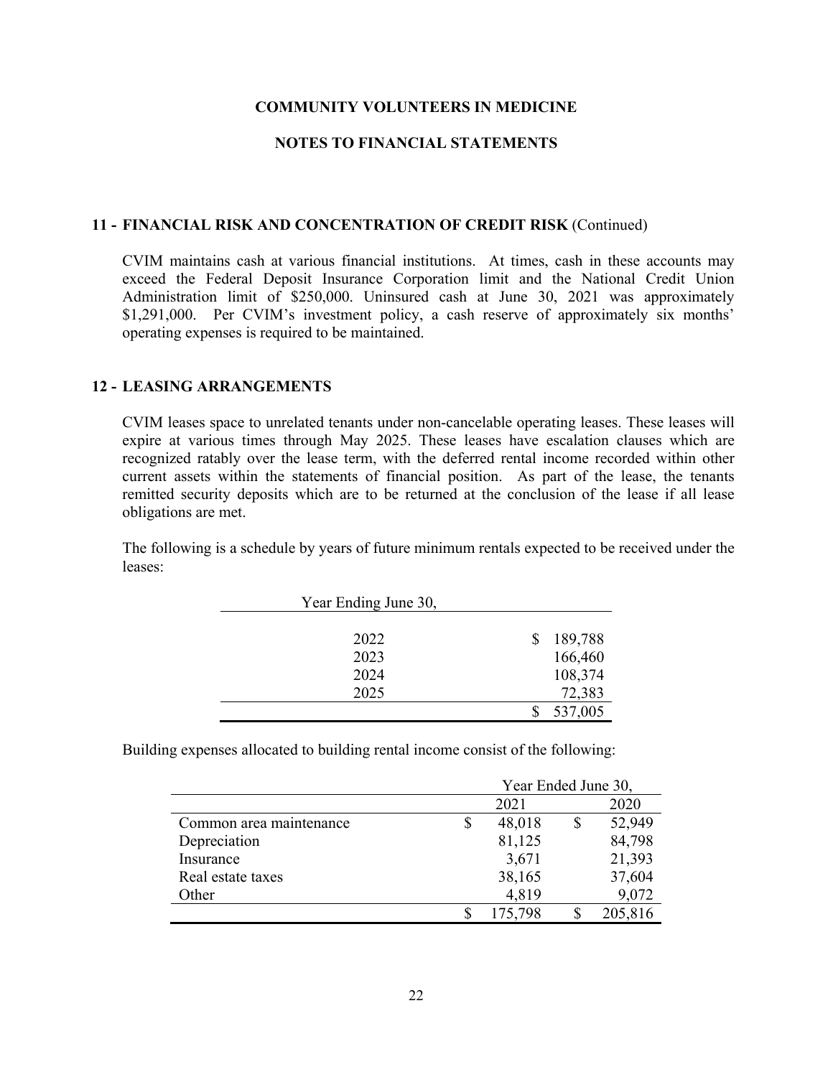#### **NOTES TO FINANCIAL STATEMENTS**

#### **11 - FINANCIAL RISK AND CONCENTRATION OF CREDIT RISK** (Continued)

CVIM maintains cash at various financial institutions. At times, cash in these accounts may exceed the Federal Deposit Insurance Corporation limit and the National Credit Union Administration limit of \$250,000. Uninsured cash at June 30, 2021 was approximately \$1,291,000. Per CVIM's investment policy, a cash reserve of approximately six months' operating expenses is required to be maintained.

#### **12 - LEASING ARRANGEMENTS**

CVIM leases space to unrelated tenants under non-cancelable operating leases. These leases will expire at various times through May 2025. These leases have escalation clauses which are recognized ratably over the lease term, with the deferred rental income recorded within other current assets within the statements of financial position. As part of the lease, the tenants remitted security deposits which are to be returned at the conclusion of the lease if all lease obligations are met.

The following is a schedule by years of future minimum rentals expected to be received under the leases:

| Year Ending June 30, |         |
|----------------------|---------|
| 2022                 | 189,788 |
| 2023                 | 166,460 |
| 2024                 | 108,374 |
| 2025                 | 72,383  |
|                      | 537,005 |

Building expenses allocated to building rental income consist of the following:

|                         | Year Ended June 30, |  |         |  |  |  |
|-------------------------|---------------------|--|---------|--|--|--|
|                         | 2021                |  |         |  |  |  |
| Common area maintenance | 48,018              |  | 52,949  |  |  |  |
| Depreciation            | 81,125              |  | 84,798  |  |  |  |
| Insurance               | 3,671               |  | 21,393  |  |  |  |
| Real estate taxes       | 38,165              |  | 37,604  |  |  |  |
| Other                   | 4,819               |  | 9,072   |  |  |  |
|                         | 175,798             |  | 205,816 |  |  |  |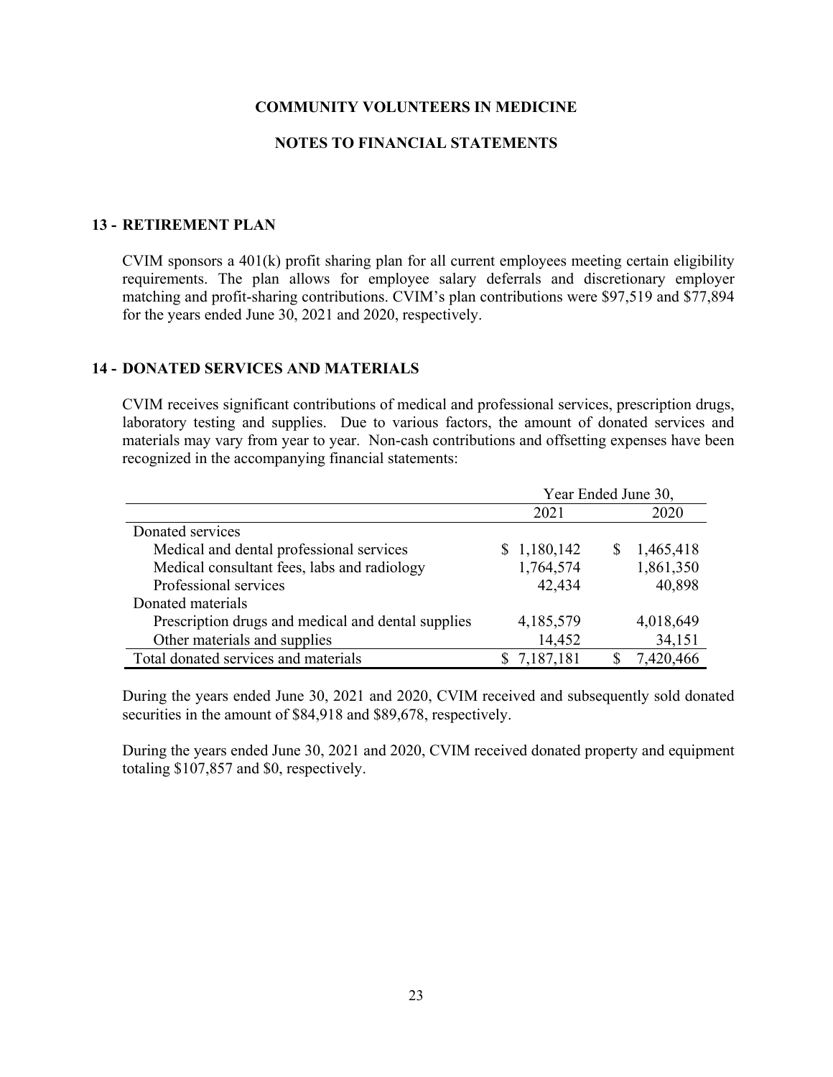#### **NOTES TO FINANCIAL STATEMENTS**

# **13 - RETIREMENT PLAN**

CVIM sponsors a 401(k) profit sharing plan for all current employees meeting certain eligibility requirements. The plan allows for employee salary deferrals and discretionary employer matching and profit-sharing contributions. CVIM's plan contributions were \$97,519 and \$77,894 for the years ended June 30, 2021 and 2020, respectively.

#### **14 - DONATED SERVICES AND MATERIALS**

CVIM receives significant contributions of medical and professional services, prescription drugs, laboratory testing and supplies. Due to various factors, the amount of donated services and materials may vary from year to year. Non-cash contributions and offsetting expenses have been recognized in the accompanying financial statements:

|                                                    | Year Ended June 30, |  |           |  |
|----------------------------------------------------|---------------------|--|-----------|--|
|                                                    | 2021                |  | 2020      |  |
| Donated services                                   |                     |  |           |  |
| Medical and dental professional services           | \$1,180,142         |  | 1,465,418 |  |
| Medical consultant fees, labs and radiology        | 1,764,574           |  | 1,861,350 |  |
| Professional services                              | 42,434              |  | 40,898    |  |
| Donated materials                                  |                     |  |           |  |
| Prescription drugs and medical and dental supplies | 4,185,579           |  | 4,018,649 |  |
| Other materials and supplies                       | 14,452              |  | 34,151    |  |
| Total donated services and materials               | 7,187,181           |  | 7,420,466 |  |

During the years ended June 30, 2021 and 2020, CVIM received and subsequently sold donated securities in the amount of \$84,918 and \$89,678, respectively.

During the years ended June 30, 2021 and 2020, CVIM received donated property and equipment totaling \$107,857 and \$0, respectively.